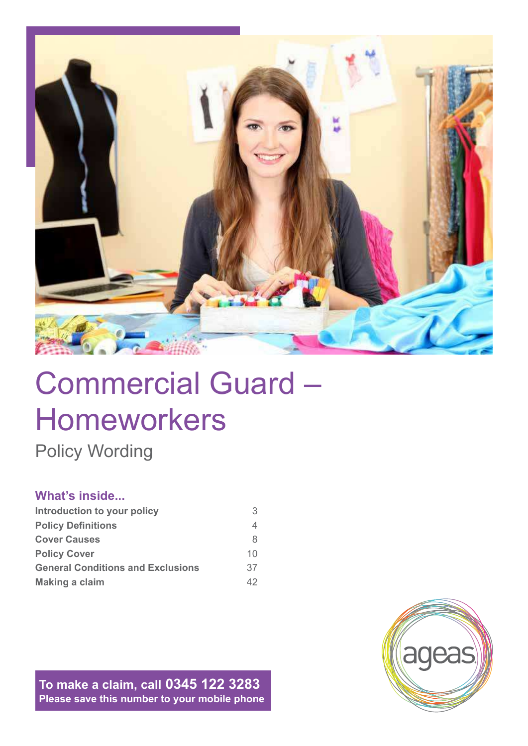

# Commercial Guard – Homeworkers

Policy Wording

# **What's inside...**

| Introduction to your policy              | 3  |
|------------------------------------------|----|
| <b>Policy Definitions</b>                | 4  |
| <b>Cover Causes</b>                      | 8  |
| <b>Policy Cover</b>                      | 10 |
| <b>General Conditions and Exclusions</b> | 37 |
| <b>Making a claim</b>                    | 42 |

**To make a claim, call 0345 122 3283 Please save this number to your mobile phone**

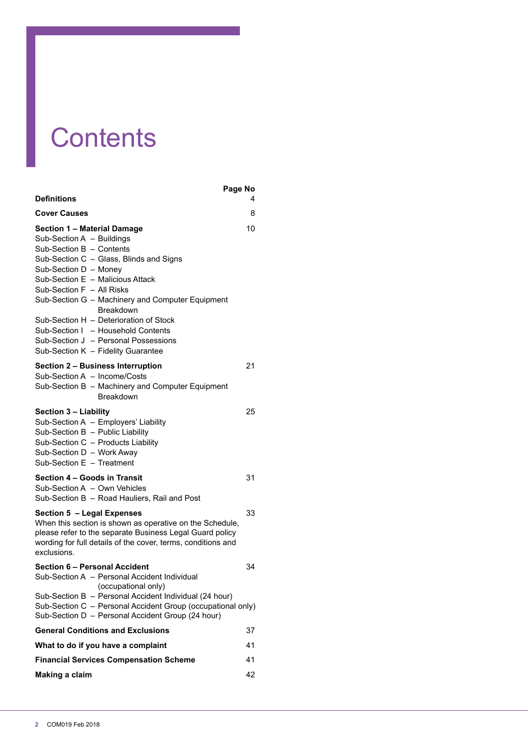# **Contents**

|                                                                                                                                                                                                                                                                                                                                                                                                                                                          | Page No |
|----------------------------------------------------------------------------------------------------------------------------------------------------------------------------------------------------------------------------------------------------------------------------------------------------------------------------------------------------------------------------------------------------------------------------------------------------------|---------|
| Definitions                                                                                                                                                                                                                                                                                                                                                                                                                                              | 4       |
| <b>Cover Causes</b>                                                                                                                                                                                                                                                                                                                                                                                                                                      | 8       |
| Section 1 – Material Damage<br>Sub-Section A - Buildings<br>Sub-Section B - Contents<br>Sub-Section C - Glass, Blinds and Signs<br>Sub-Section D - Money<br>Sub-Section E - Malicious Attack<br>Sub-Section F - All Risks<br>Sub-Section G - Machinery and Computer Equipment<br>Breakdown<br>Sub-Section H - Deterioration of Stock<br>Sub-Section I - Household Contents<br>Sub-Section J - Personal Possessions<br>Sub-Section K - Fidelity Guarantee | 10      |
| Section 2 - Business Interruption<br>Sub-Section A - Income/Costs<br>Sub-Section B - Machinery and Computer Equipment<br>Breakdown                                                                                                                                                                                                                                                                                                                       | 21      |
| <b>Section 3 - Liability</b><br>Sub-Section A - Employers' Liability<br>Sub-Section B - Public Liability<br>Sub-Section C - Products Liability<br>Sub-Section D - Work Away<br>Sub-Section E - Treatment                                                                                                                                                                                                                                                 | 25      |
| Section 4 - Goods in Transit<br>Sub-Section A - Own Vehicles<br>Sub-Section B - Road Hauliers, Rail and Post                                                                                                                                                                                                                                                                                                                                             | 31      |
| <b>Section 5 - Legal Expenses</b><br>When this section is shown as operative on the Schedule,<br>please refer to the separate Business Legal Guard policy<br>wording for full details of the cover, terms, conditions and<br>exclusions.                                                                                                                                                                                                                 | 33      |
| <b>Section 6 - Personal Accident</b><br>Sub-Section A - Personal Accident Individual<br>(occupational only)<br>Sub-Section B - Personal Accident Individual (24 hour)<br>Sub-Section C - Personal Accident Group (occupational only)<br>Sub-Section D - Personal Accident Group (24 hour)                                                                                                                                                                | 34      |
| <b>General Conditions and Exclusions</b>                                                                                                                                                                                                                                                                                                                                                                                                                 | 37      |
| What to do if you have a complaint                                                                                                                                                                                                                                                                                                                                                                                                                       | 41      |
| <b>Financial Services Compensation Scheme</b>                                                                                                                                                                                                                                                                                                                                                                                                            | 41      |
| Making a claim                                                                                                                                                                                                                                                                                                                                                                                                                                           | 42      |
|                                                                                                                                                                                                                                                                                                                                                                                                                                                          |         |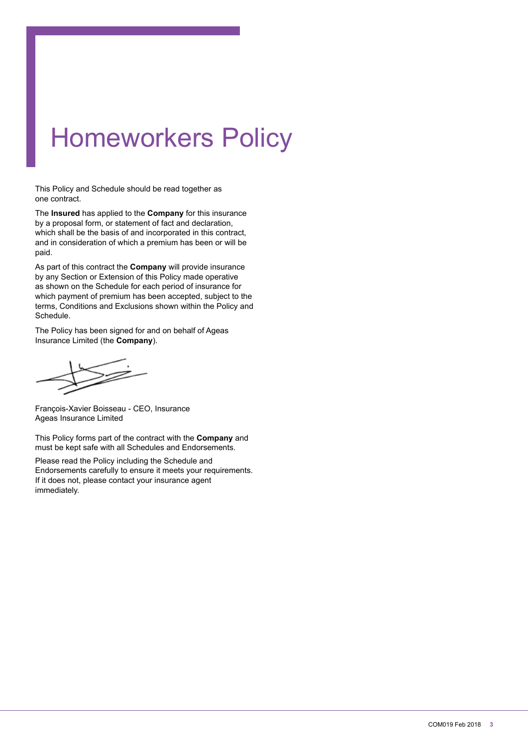# Homeworkers Policy

This Policy and Schedule should be read together as one contract.

The **Insured** has applied to the **Company** for this insurance by a proposal form, or statement of fact and declaration, which shall be the basis of and incorporated in this contract, and in consideration of which a premium has been or will be paid.

As part of this contract the **Company** will provide insurance by any Section or Extension of this Policy made operative as shown on the Schedule for each period of insurance for which payment of premium has been accepted, subject to the terms, Conditions and Exclusions shown within the Policy and Schedule.

The Policy has been signed for and on behalf of Ageas Insurance Limited (the **Company**).

François-Xavier Boisseau - CEO, Insurance Ageas Insurance Limited

This Policy forms part of the contract with the **Company** and must be kept safe with all Schedules and Endorsements.

Please read the Policy including the Schedule and Endorsements carefully to ensure it meets your requirements. If it does not, please contact your insurance agent immediately.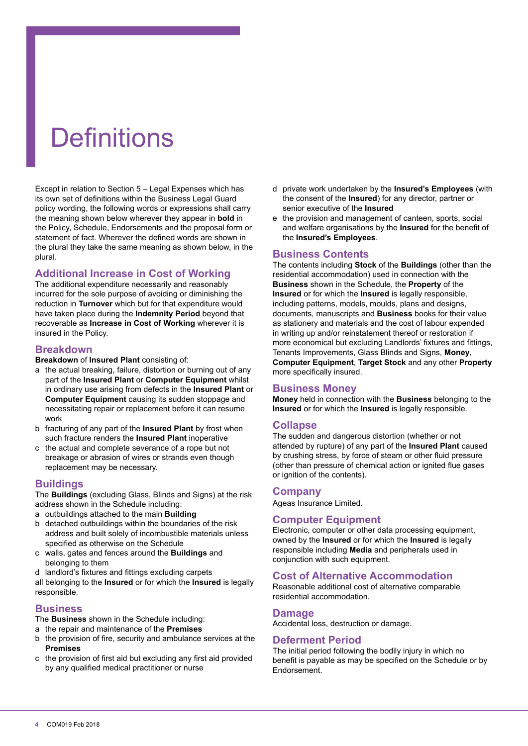# **Definitions**

Except in relation to Section 5 – Legal Expenses which has its own set of definitions within the Business Legal Guard policy wording, the following words or expressions shall carry the meaning shown below wherever they appear in **bold** in the Policy, Schedule, Endorsements and the proposal form or statement of fact. Wherever the defined words are shown in the plural they take the same meaning as shown below, in the plural.

# **Additional Increase in Cost of Working**

The additional expenditure necessarily and reasonably incurred for the sole purpose of avoiding or diminishing the reduction in **Turnover** which but for that expenditure would have taken place during the **Indemnity Period** beyond that recoverable as **Increase in Cost of Working** wherever it is insured in the Policy.

#### **Breakdown**

**Breakdown** of **Insured Plant** consisting of:

- a the actual breaking, failure, distortion or burning out of any part of the **Insured Plant** or **Computer Equipment** whilst in ordinary use arising from defects in the **Insured Plant** or **Computer Equipment** causing its sudden stoppage and necessitating repair or replacement before it can resume work
- b fracturing of any part of the **Insured Plant** by frost when such fracture renders the **Insured Plant** inoperative
- c the actual and complete severance of a rope but not breakage or abrasion of wires or strands even though replacement may be necessary.

#### **Buildings**

The **Buildings** (excluding Glass, Blinds and Signs) at the risk address shown in the Schedule including:

- a outbuildings attached to the main **Building**
- b detached outbuildings within the boundaries of the risk address and built solely of incombustible materials unless specified as otherwise on the Schedule
- c walls, gates and fences around the **Buildings** and belonging to them
- d landlord's fixtures and fittings excluding carpets

all belonging to the **Insured** or for which the **Insured** is legally responsible.

#### **Business**

- The **Business** shown in the Schedule including:
- a the repair and maintenance of the **Premises**
- b the provision of ire, security and ambulance services at the **Premises**
- c the provision of first aid but excluding any first aid provided by any qualified medical practitioner or nurse
- d private work undertaken by the **Insured's Employees** (with the consent of the **Insured**) for any director, partner or senior executive of the **Insured**
- e the provision and management of canteen, sports, social and welfare organisations by the **Insured** for the benefit of the **Insured's Employees**.

# **Business Contents**

The contents including **Stock** of the **Buildings** (other than the residential accommodation) used in connection with the **Business** shown in the Schedule, the **Property** of the **Insured** or for which the **Insured** is legally responsible, including patterns, models, moulds, plans and designs, documents, manuscripts and **Business** books for their value as stationery and materials and the cost of labour expended in writing up and/or reinstatement thereof or restoration if more economical but excluding Landlords' fixtures and fittings, Tenants Improvements, Glass Blinds and Signs, **Money**, **Computer Equipment**, **Target Stock** and any other **Property** more specifically insured.

#### **Business Money**

**Money** held in connection with the **Business** belonging to the **Insured** or for which the **Insured** is legally responsible.

#### **Collapse**

The sudden and dangerous distortion (whether or not attended by rupture) of any part of the **Insured Plant** caused by crushing stress, by force of steam or other fluid pressure (other than pressure of chemical action or ignited flue gases or ignition of the contents).

#### **Company**

Ageas Insurance Limited.

#### **Computer Equipment**

Electronic, computer or other data processing equipment, owned by the **Insured** or for which the **Insured** is legally responsible including **Media** and peripherals used in conjunction with such equipment.

#### **Cost of Alternative Accommodation**

Reasonable additional cost of alternative comparable residential accommodation.

#### **Damage**

Accidental loss, destruction or damage.

#### **Deferment Period**

The initial period following the bodily injury in which no benefit is payable as may be specified on the Schedule or by Endorsement.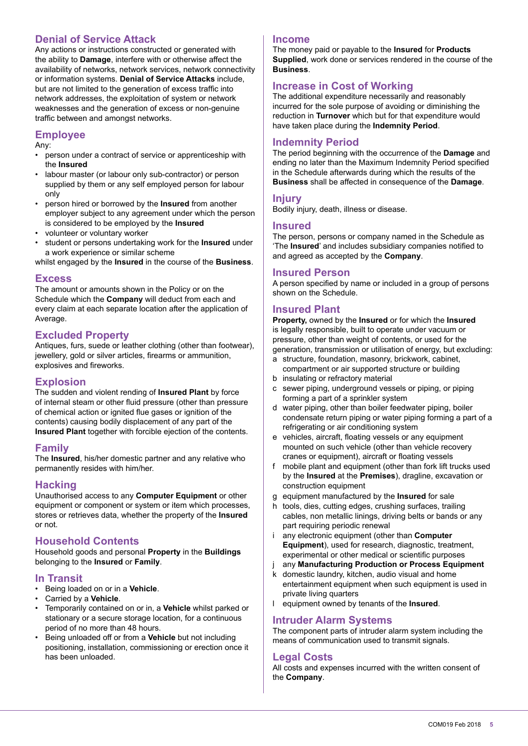# **Denial of Service Attack**

Any actions or instructions constructed or generated with the ability to **Damage**, interfere with or otherwise affect the availability of networks, network services, network connectivity or information systems. **Denial of Service Attacks** include, but are not limited to the generation of excess trafic into network addresses, the exploitation of system or network weaknesses and the generation of excess or non-genuine trafic between and amongst networks.

# **Employee**

Any:

- person under a contract of service or apprenticeship with the **Insured**
- labour master (or labour only sub-contractor) or person supplied by them or any self employed person for labour only
- person hired or borrowed by the **Insured** from another employer subject to any agreement under which the person is considered to be employed by the **Insured**
- volunteer or voluntary worker
- student or persons undertaking work for the **Insured** under a work experience or similar scheme

whilst engaged by the **Insured** in the course of the **Business**.

#### **Excess**

The amount or amounts shown in the Policy or on the Schedule which the **Company** will deduct from each and every claim at each separate location after the application of Average.

# **Excluded Property**

Antiques, furs, suede or leather clothing (other than footwear), iewellery, gold or silver articles, firearms or ammunition, explosives and fireworks.

#### **Explosion**

The sudden and violent rending of **Insured Plant** by force of internal steam or other fluid pressure (other than pressure of chemical action or ignited flue gases or ignition of the contents) causing bodily displacement of any part of the **Insured Plant** together with forcible ejection of the contents.

#### **Family**

The **Insured**, his/her domestic partner and any relative who permanently resides with him/her.

# **Hacking**

Unauthorised access to any **Computer Equipment** or other equipment or component or system or item which processes, stores or retrieves data, whether the property of the **Insured** or not.

# **Household Contents**

Household goods and personal **Property** in the **Buildings** belonging to the **Insured** or **Family**.

#### **In Transit**

- Being loaded on or in a **Vehicle**.
- Carried by a **Vehicle**.
- Temporarily contained on or in, a **Vehicle** whilst parked or stationary or a secure storage location, for a continuous period of no more than 48 hours.
- Being unloaded off or from a **Vehicle** but not including positioning, installation, commissioning or erection once it has been unloaded.

#### **Income**

The money paid or payable to the **Insured** for **Products Supplied**, work done or services rendered in the course of the **Business**.

# **Increase in Cost of Working**

The additional expenditure necessarily and reasonably incurred for the sole purpose of avoiding or diminishing the reduction in **Turnover** which but for that expenditure would have taken place during the **Indemnity Period**.

#### **Indemnity Period**

The period beginning with the occurrence of the **Damage** and ending no later than the Maximum Indemnity Period specified in the Schedule afterwards during which the results of the **Business** shall be affected in consequence of the **Damage**.

#### **Injury**

Bodily injury, death, illness or disease.

#### **Insured**

The person, persons or company named in the Schedule as 'The **Insured**' and includes subsidiary companies notified to and agreed as accepted by the **Company**.

#### **Insured Person**

A person specified by name or included in a group of persons shown on the Schedule.

#### **Insured Plant**

**Property,** owned by the **Insured** or for which the **Insured** is legally responsible, built to operate under vacuum or pressure, other than weight of contents, or used for the generation, transmission or utilisation of energy, but excluding:

- a structure, foundation, masonry, brickwork, cabinet, compartment or air supported structure or building
- b insulating or refractory material
- c sewer piping, underground vessels or piping, or piping forming a part of a sprinkler system
- d water piping, other than boiler feedwater piping, boiler condensate return piping or water piping forming a part of a refrigerating or air conditioning system
- e vehicles, aircraft, floating vessels or any equipment mounted on such vehicle (other than vehicle recovery cranes or equipment), aircraft or floating vessels
- f mobile plant and equipment (other than fork lift trucks used by the **Insured** at the **Premises**), dragline, excavation or construction equipment
- g equipment manufactured by the **Insured** for sale
- h tools, dies, cutting edges, crushing surfaces, trailing cables, non metallic linings, driving belts or bands or any part requiring periodic renewal
- i any electronic equipment (other than **Computer Equipment**), used for research, diagnostic, treatment, experimental or other medical or scientific purposes
- j any **Manufacturing Production or Process Equipment**
- k domestic laundry, kitchen, audio visual and home entertainment equipment when such equipment is used in private living quarters
- l equipment owned by tenants of the **Insured**.

#### **Intruder Alarm Systems**

The component parts of intruder alarm system including the means of communication used to transmit signals.

# **Legal Costs**

All costs and expenses incurred with the written consent of the **Company**.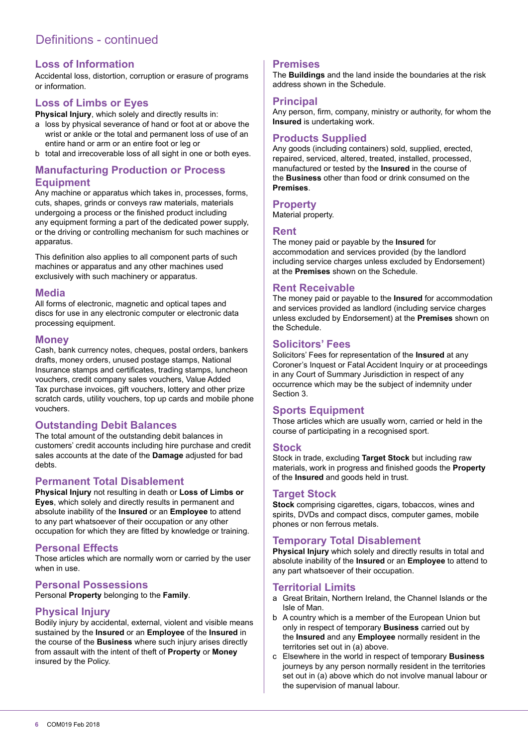# Definitions - continued

# **Loss of Information**

Accidental loss, distortion, corruption or erasure of programs or information.

# **Loss of Limbs or Eyes**

**Physical Injury**, which solely and directly results in:

- a loss by physical severance of hand or foot at or above the wrist or ankle or the total and permanent loss of use of an entire hand or arm or an entire foot or leg or
- b total and irrecoverable loss of all sight in one or both eyes.

# **Manufacturing Production or Process Equipment**

Any machine or apparatus which takes in, processes, forms, cuts, shapes, grinds or conveys raw materials, materials undergoing a process or the finished product including any equipment forming a part of the dedicated power supply, or the driving or controlling mechanism for such machines or apparatus.

This definition also applies to all component parts of such machines or apparatus and any other machines used exclusively with such machinery or apparatus.

#### **Media**

All forms of electronic, magnetic and optical tapes and discs for use in any electronic computer or electronic data processing equipment.

#### **Money**

Cash, bank currency notes, cheques, postal orders, bankers drafts, money orders, unused postage stamps, National Insurance stamps and certiicates, trading stamps, luncheon vouchers, credit company sales vouchers, Value Added Tax purchase invoices, gift vouchers, lottery and other prize scratch cards, utility vouchers, top up cards and mobile phone vouchers.

# **Outstanding Debit Balances**

The total amount of the outstanding debit balances in customers' credit accounts including hire purchase and credit sales accounts at the date of the **Damage** adjusted for bad debts.

#### **Permanent Total Disablement**

**Physical Injury** not resulting in death or **Loss of Limbs or Eyes**, which solely and directly results in permanent and absolute inability of the **Insured** or an **Employee** to attend to any part whatsoever of their occupation or any other occupation for which they are itted by knowledge or training.

# **Personal Effects**

Those articles which are normally worn or carried by the user when in use.

#### **Personal Possessions**

Personal **Property** belonging to the **Family**.

#### **Physical Injury**

Bodily injury by accidental, external, violent and visible means sustained by the **Insured** or an **Employee** of the **Insured** in the course of the **Business** where such injury arises directly from assault with the intent of theft of **Property** or **Money**  insured by the Policy.

#### **Premises**

The **Buildings** and the land inside the boundaries at the risk address shown in the Schedule.

#### **Principal**

Any person, firm, company, ministry or authority, for whom the **Insured** is undertaking work.

#### **Products Supplied**

Any goods (including containers) sold, supplied, erected, repaired, serviced, altered, treated, installed, processed, manufactured or tested by the **Insured** in the course of the **Business** other than food or drink consumed on the **Premises**.

#### **Property**

Material property.

#### **Rent**

The money paid or payable by the **Insured** for accommodation and services provided (by the landlord including service charges unless excluded by Endorsement) at the **Premises** shown on the Schedule.

# **Rent Receivable**

The money paid or payable to the **Insured** for accommodation and services provided as landlord (including service charges unless excluded by Endorsement) at the **Premises** shown on the Schedule.

#### **Solicitors' Fees**

Solicitors' Fees for representation of the **Insured** at any Coroner's Inquest or Fatal Accident Inquiry or at proceedings in any Court of Summary Jurisdiction in respect of any occurrence which may be the subject of indemnity under Section 3.

# **Sports Equipment**

Those articles which are usually worn, carried or held in the course of participating in a recognised sport.

#### **Stock**

Stock in trade, excluding **Target Stock** but including raw materials, work in progress and inished goods the **Property** of the **Insured** and goods held in trust.

#### **Target Stock**

**Stock** comprising cigarettes, cigars, tobaccos, wines and spirits, DVDs and compact discs, computer games, mobile phones or non ferrous metals.

# **Temporary Total Disablement**

**Physical Injury** which solely and directly results in total and absolute inability of the **Insured** or an **Employee** to attend to any part whatsoever of their occupation.

#### **Territorial Limits**

- a Great Britain, Northern Ireland, the Channel Islands or the Isle of Man.
- b A country which is a member of the European Union but only in respect of temporary **Business** carried out by the **Insured** and any **Employee** normally resident in the territories set out in (a) above.
- c Elsewhere in the world in respect of temporary **Business** journeys by any person normally resident in the territories set out in (a) above which do not involve manual labour or the supervision of manual labour.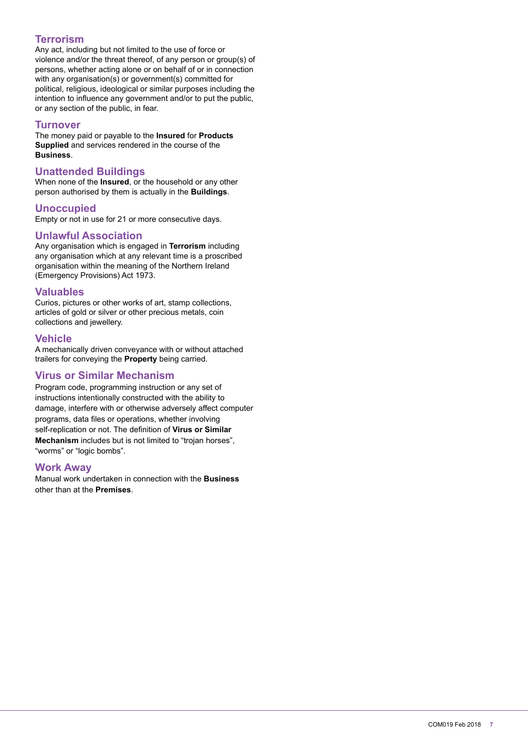# **Terrorism**

Any act, including but not limited to the use of force or violence and/or the threat thereof, of any person or group(s) of persons, whether acting alone or on behalf of or in connection with any organisation(s) or government(s) committed for political, religious, ideological or similar purposes including the intention to influence any government and/or to put the public, or any section of the public, in fear.

#### **Turnover**

The money paid or payable to the **Insured** for **Products Supplied** and services rendered in the course of the **Business**.

#### **Unattended Buildings**

When none of the **Insured**, or the household or any other person authorised by them is actually in the **Buildings**.

#### **Unoccupied**

Empty or not in use for 21 or more consecutive days.

#### **Unlawful Association**

Any organisation which is engaged in **Terrorism** including any organisation which at any relevant time is a proscribed organisation within the meaning of the Northern Ireland (Emergency Provisions) Act 1973.

#### **Valuables**

Curios, pictures or other works of art, stamp collections, articles of gold or silver or other precious metals, coin collections and jewellery.

#### **Vehicle**

A mechanically driven conveyance with or without attached trailers for conveying the **Property** being carried.

# **Virus or Similar Mechanism**

Program code, programming instruction or any set of instructions intentionally constructed with the ability to damage, interfere with or otherwise adversely affect computer programs, data files or operations, whether involving self-replication or not. The definition of Virus or Similar **Mechanism** includes but is not limited to "trojan horses", "worms" or "logic bombs".

#### **Work Away**

Manual work undertaken in connection with the **Business** other than at the **Premises**.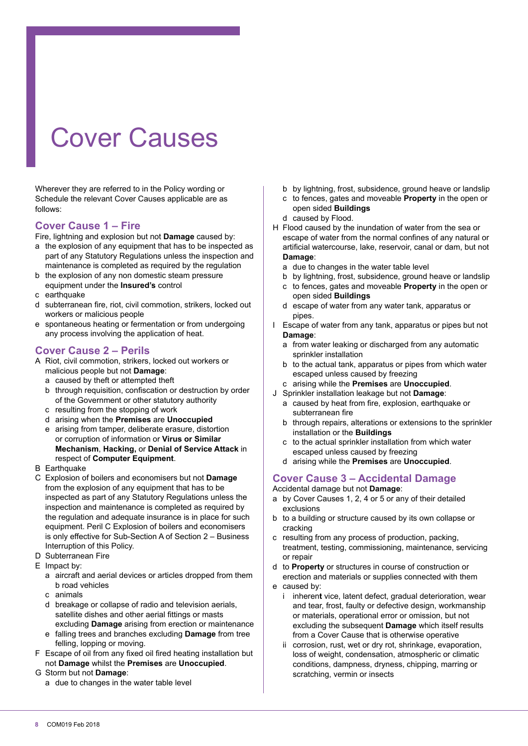# Cover Causes

Wherever they are referred to in the Policy wording or Schedule the relevant Cover Causes applicable are as follows:

# **Cover Cause 1 – Fire**

Fire, lightning and explosion but not **Damage** caused by:

- a the explosion of any equipment that has to be inspected as part of any Statutory Regulations unless the inspection and maintenance is completed as required by the regulation
- b the explosion of any non domestic steam pressure equipment under the **Insured's** control
- c earthquake
- d subterranean fire, riot, civil commotion, strikers, locked out workers or malicious people
- e spontaneous heating or fermentation or from undergoing any process involving the application of heat.

# **Cover Cause 2 – Perils**

- A Riot, civil commotion, strikers, locked out workers or malicious people but not **Damage**:
	- a caused by theft or attempted theft
	- b through requisition, confiscation or destruction by order of the Government or other statutory authority
	- c resulting from the stopping of work
	- d arising when the **Premises** are **Unoccupied**
	- e arising from tamper, deliberate erasure, distortion or corruption of information or **Virus or Similar Mechanism**, **Hacking,** or **Denial of Service Attack** in respect of **Computer Equipment**.
- B Earthquake
- C Explosion of boilers and economisers but not **Damage** from the explosion of any equipment that has to be inspected as part of any Statutory Regulations unless the inspection and maintenance is completed as required by the regulation and adequate insurance is in place for such equipment. Peril C Explosion of boilers and economisers is only effective for Sub-Section A of Section 2 – Business Interruption of this Policy.
- D Subterranean Fire
- E Impact by:
	- a aircraft and aerial devices or articles dropped from them b road vehicles
	- c animals
	- d breakage or collapse of radio and television aerials, satellite dishes and other aerial fittings or masts excluding **Damage** arising from erection or maintenance
	- e falling trees and branches excluding **Damage** from tree felling, lopping or moving.
- F Escape of oil from any fixed oil fired heating installation but not **Damage** whilst the **Premises** are **Unoccupied**.
- G Storm but not **Damage**:
	- a due to changes in the water table level
- b by lightning, frost, subsidence, ground heave or landslip
- c to fences, gates and moveable **Property** in the open or open sided **Buildings**
- d caused by Flood.
- H Flood caused by the inundation of water from the sea or escape of water from the normal confines of any natural or artificial watercourse, lake, reservoir, canal or dam, but not **Damage**:
	- a due to changes in the water table level
	- b by lightning, frost, subsidence, ground heave or landslip
	- c to fences, gates and moveable **Property** in the open or open sided **Buildings**
	- d escape of water from any water tank, apparatus or pipes.
- I Escape of water from any tank, apparatus or pipes but not **Damage**:
	- a from water leaking or discharged from any automatic sprinkler installation
	- b to the actual tank, apparatus or pipes from which water escaped unless caused by freezing
	- c arising while the **Premises** are **Unoccupied**.
- J Sprinkler installation leakage but not **Damage**:
	- a caused by heat from ire, explosion, earthquake or subterranean fire
	- b through repairs, alterations or extensions to the sprinkler installation or the **Buildings**
	- c to the actual sprinkler installation from which water escaped unless caused by freezing
	- d arising while the **Premises** are **Unoccupied**.

# **Cover Cause 3 – Accidental Damage**

Accidental damage but not **Damage**:

- a by Cover Causes 1, 2, 4 or 5 or any of their detailed exclusions
- b to a building or structure caused by its own collapse or cracking
- c resulting from any process of production, packing, treatment, testing, commissioning, maintenance, servicing or repair
- d to **Property** or structures in course of construction or erection and materials or supplies connected with them
- e caused by:
	- i inheren**t** vice, latent defect, gradual deterioration, wear and tear, frost, faulty or defective design, workmanship or materials, operational error or omission, but not excluding the subsequent **Damage** which itself results from a Cover Cause that is otherwise operative
	- ii corrosion, rust, wet or dry rot, shrinkage, evaporation, loss of weight, condensation, atmospheric or climatic conditions, dampness, dryness, chipping, marring or scratching, vermin or insects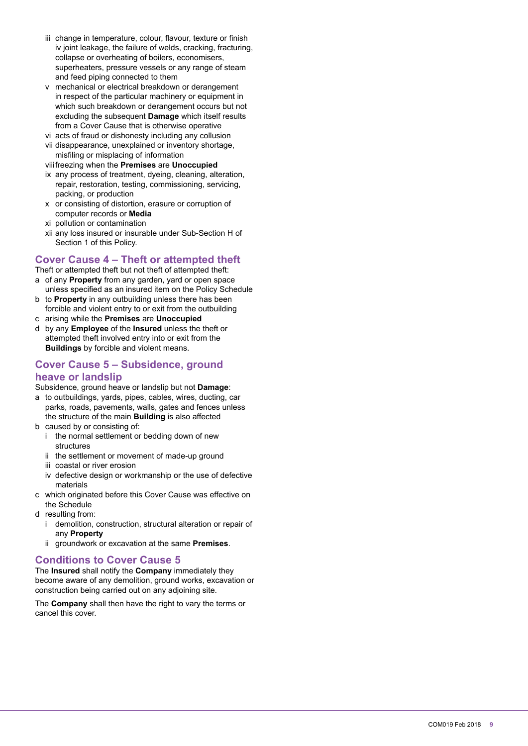- iii change in temperature, colour, flavour, texture or finish iv joint leakage, the failure of welds, cracking, fracturing, collapse or overheating of boilers, economisers, superheaters, pressure vessels or any range of steam and feed piping connected to them
- v mechanical or electrical breakdown or derangement in respect of the particular machinery or equipment in which such breakdown or derangement occurs but not excluding the subsequent **Damage** which itself results from a Cover Cause that is otherwise operative
- vi acts of fraud or dishonesty including any collusion
- vii disappearance, unexplained or inventory shortage, misfiling or misplacing of information
- viii freezing when the **Premises** are **Unoccupied**
- ix any process of treatment, dyeing, cleaning, alteration, repair, restoration, testing, commissioning, servicing, packing, or production
- x or consisting of distortion, erasure or corruption of computer records or **Media**
- xi pollution or contamination
- xii any loss insured or insurable under Sub-Section H of Section 1 of this Policy.

# **Cover Cause 4 – Theft or attempted theft**

Theft or attempted theft but not theft of attempted theft:

- a of any **Property** from any garden, yard or open space unless specified as an insured item on the Policy Schedule
- b to **Property** in any outbuilding unless there has been forcible and violent entry to or exit from the outbuilding
- c arising while the **Premises** are **Unoccupied**
- d by any **Employee** of the **Insured** unless the theft or attempted theft involved entry into or exit from the **Buildings** by forcible and violent means.

# **Cover Cause 5 – Subsidence, ground heave or landslip**

Subsidence, ground heave or landslip but not **Damage**:

- a to outbuildings, yards, pipes, cables, wires, ducting, car parks, roads, pavements, walls, gates and fences unless the structure of the main **Building** is also affected
- b caused by or consisting of:
	- i the normal settlement or bedding down of new structures
	- ii the settlement or movement of made-up ground
	- iii coastal or river erosion
	- iv defective design or workmanship or the use of defective materials
- c which originated before this Cover Cause was effective on the Schedule
- d resulting from:
	- i demolition, construction, structural alteration or repair of any **Property**
	- ii groundwork or excavation at the same **Premises**.

# **Conditions to Cover Cause 5**

The **Insured** shall notify the **Company** immediately they become aware of any demolition, ground works, excavation or construction being carried out on any adjoining site.

The **Company** shall then have the right to vary the terms or cancel this cover.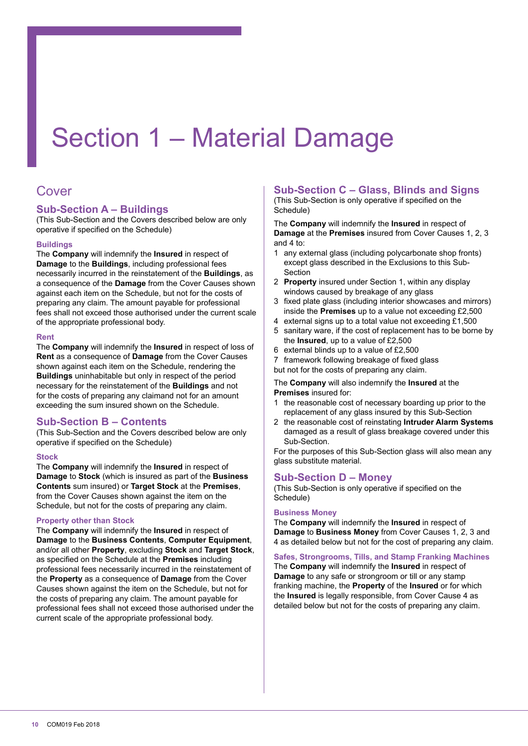# Section 1 – Material Damage

# Cover

# **Sub-Section A – Buildings**

(This Sub-Section and the Covers described below are only operative if specified on the Schedule)

#### **Buildings**

The **Company** will indemnify the **Insured** in respect of **Damage** to the **Buildings**, including professional fees necessarily incurred in the reinstatement of the **Buildings**, as a consequence of the **Damage** from the Cover Causes shown against each item on the Schedule, but not for the costs of preparing any claim. The amount payable for professional fees shall not exceed those authorised under the current scale of the appropriate professional body.

#### **Rent**

The **Company** will indemnify the **Insured** in respect of loss of **Rent** as a consequence of **Damage** from the Cover Causes shown against each item on the Schedule, rendering the **Buildings** uninhabitable but only in respect of the period necessary for the reinstatement of the **Buildings** and not for the costs of preparing any claimand not for an amount exceeding the sum insured shown on the Schedule.

# **Sub-Section B – Contents**

(This Sub-Section and the Covers described below are only operative if specified on the Schedule)

#### **Stock**

The **Company** will indemnify the **Insured** in respect of **Damage** to **Stock** (which is insured as part of the **Business Contents** sum insured) or **Target Stock** at the **Premises**, from the Cover Causes shown against the item on the Schedule, but not for the costs of preparing any claim.

#### **Property other than Stock**

The **Company** will indemnify the **Insured** in respect of **Damage** to the **Business Contents**, **Computer Equipment**, and/or all other **Property**, excluding **Stock** and **Target Stock**, as speciied on the Schedule at the **Premises** including professional fees necessarily incurred in the reinstatement of the **Property** as a consequence of **Damage** from the Cover Causes shown against the item on the Schedule, but not for the costs of preparing any claim. The amount payable for professional fees shall not exceed those authorised under the current scale of the appropriate professional body.

# **Sub-Section C – Glass, Blinds and Signs**

(This Sub-Section is only operative if specified on the Schedule)

The **Company** will indemnify the **Insured** in respect of **Damage** at the **Premises** insured from Cover Causes 1, 2, 3 and 4 to:

- 1 any external glass (including polycarbonate shop fronts) except glass described in the Exclusions to this Sub-Section
- 2 **Property** insured under Section 1, within any display windows caused by breakage of any glass
- 3 fixed plate glass (including interior showcases and mirrors) inside the **Premises** up to a value not exceeding £2,500
- 4 external signs up to a total value not exceeding £1,500
- 5 sanitary ware, if the cost of replacement has to be borne by the **Insured**, up to a value of £2,500
- 6 external blinds up to a value of £2,500
- 7 framework following breakage of ixed glass
- but not for the costs of preparing any claim.

The **Company** will also indemnify the **Insured** at the **Premises** insured for:

- 1 the reasonable cost of necessary boarding up prior to the replacement of any glass insured by this Sub-Section
- 2 the reasonable cost of reinstating **Intruder Alarm Systems** damaged as a result of glass breakage covered under this Sub-Section.

For the purposes of this Sub-Section glass will also mean any glass substitute material.

# **Sub-Section D – Money**

(This Sub-Section is only operative if specified on the Schedule)

#### **Business Money**

The **Company** will indemnify the **Insured** in respect of **Damage** to **Business Money** from Cover Causes 1, 2, 3 and 4 as detailed below but not for the cost of preparing any claim.

# **Safes, Strongrooms, Tills, and Stamp Franking Machines**

The **Company** will indemnify the **Insured** in respect of **Damage** to any safe or strongroom or till or any stamp franking machine, the **Property** of the **Insured** or for which the **Insured** is legally responsible, from Cover Cause 4 as detailed below but not for the costs of preparing any claim.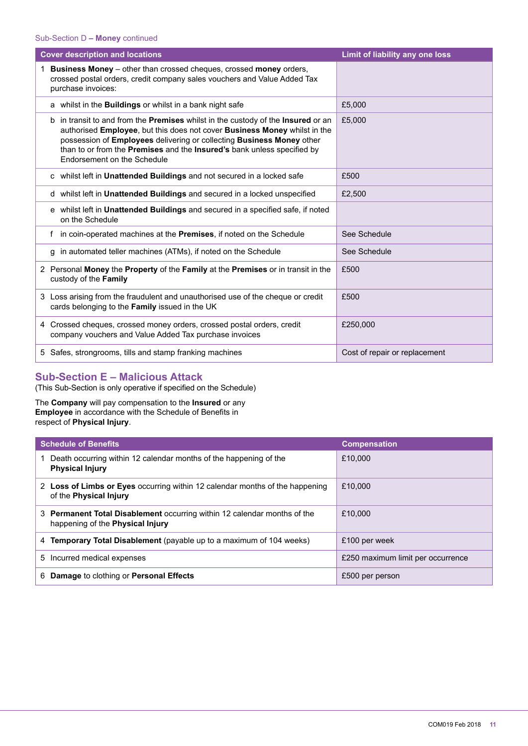| <b>Cover description and locations</b>                                                                                                                                                                                                                                                                                                           | Limit of liability any one loss |
|--------------------------------------------------------------------------------------------------------------------------------------------------------------------------------------------------------------------------------------------------------------------------------------------------------------------------------------------------|---------------------------------|
| <b>Business Money</b> – other than crossed cheques, crossed money orders,<br>crossed postal orders, credit company sales vouchers and Value Added Tax<br>purchase invoices:                                                                                                                                                                      |                                 |
| a whilst in the <b>Buildings</b> or whilst in a bank night safe                                                                                                                                                                                                                                                                                  | £5,000                          |
| b in transit to and from the Premises whilst in the custody of the Insured or an<br>authorised Employee, but this does not cover Business Money whilst in the<br>possession of Employees delivering or collecting Business Money other<br>than to or from the Premises and the Insured's bank unless specified by<br>Endorsement on the Schedule | £5.000                          |
| c whilst left in Unattended Buildings and not secured in a locked safe                                                                                                                                                                                                                                                                           | £500                            |
| d whilst left in Unattended Buildings and secured in a locked unspecified                                                                                                                                                                                                                                                                        | £2,500                          |
| e whilst left in Unattended Buildings and secured in a specified safe, if noted<br>on the Schedule                                                                                                                                                                                                                                               |                                 |
| in coin-operated machines at the Premises, if noted on the Schedule<br>f                                                                                                                                                                                                                                                                         | See Schedule                    |
| g in automated teller machines (ATMs), if noted on the Schedule                                                                                                                                                                                                                                                                                  | See Schedule                    |
| 2 Personal Money the Property of the Family at the Premises or in transit in the<br>custody of the Family                                                                                                                                                                                                                                        | £500                            |
| 3 Loss arising from the fraudulent and unauthorised use of the cheque or credit<br>cards belonging to the Family issued in the UK                                                                                                                                                                                                                | £500                            |
| 4 Crossed cheques, crossed money orders, crossed postal orders, credit<br>company vouchers and Value Added Tax purchase invoices                                                                                                                                                                                                                 | £250,000                        |
| 5 Safes, strongrooms, tills and stamp franking machines                                                                                                                                                                                                                                                                                          | Cost of repair or replacement   |

# **Sub-Section E – Malicious Attack**

(This Sub-Section is only operative if speciied on the Schedule)

The **Company** will pay compensation to the **Insured** or any **Employee** in accordance with the Schedule of Benefits in respect of **Physical Injury**.

| <b>Schedule of Benefits</b>                                                                                         | <b>Compensation</b>               |
|---------------------------------------------------------------------------------------------------------------------|-----------------------------------|
| Death occurring within 12 calendar months of the happening of the<br><b>Physical Injury</b>                         | £10,000                           |
| 2 Loss of Limbs or Eyes occurring within 12 calendar months of the happening<br>of the <b>Physical Injury</b>       | £10,000                           |
| 3 Permanent Total Disablement occurring within 12 calendar months of the<br>happening of the <b>Physical Injury</b> | £10,000                           |
| <b>Temporary Total Disablement</b> (payable up to a maximum of 104 weeks)<br>4                                      | £100 per week                     |
| 5 Incurred medical expenses                                                                                         | £250 maximum limit per occurrence |
| Damage to clothing or Personal Effects<br>6                                                                         | £500 per person                   |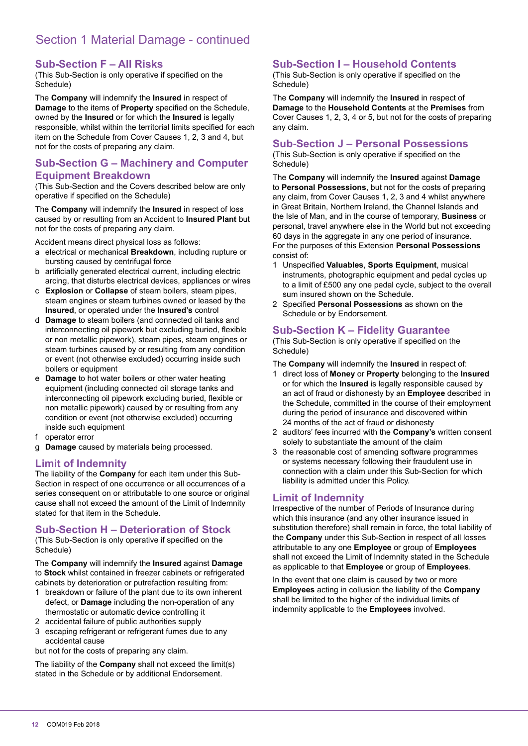# Section 1 Material Damage - continued

#### **Sub-Section F – All Risks**

(This Sub-Section is only operative if specified on the Schedule)

The **Company** will indemnify the **Insured** in respect of **Damage** to the items of **Property** specified on the Schedule, owned by the **Insured** or for which the **Insured** is legally responsible, whilst within the territorial limits specified for each item on the Schedule from Cover Causes 1, 2, 3 and 4, but not for the costs of preparing any claim.

# **Sub-Section G – Machinery and Computer Equipment Breakdown**

(This Sub-Section and the Covers described below are only operative if specified on the Schedule)

The **Company** will indemnify the **Insured** in respect of loss caused by or resulting from an Accident to **Insured Plant** but not for the costs of preparing any claim.

Accident means direct physical loss as follows:

- a electrical or mechanical **Breakdown**, including rupture or bursting caused by centrifugal force
- b artificially generated electrical current, including electric arcing, that disturbs electrical devices, appliances or wires
- c **Explosion** or **Collapse** of steam boilers, steam pipes, steam engines or steam turbines owned or leased by the **Insured**, or operated under the **Insured's** control
- d **Damage** to steam boilers (and connected oil tanks and interconnecting oil pipework but excluding buried, flexible or non metallic pipework), steam pipes, steam engines or steam turbines caused by or resulting from any condition or event (not otherwise excluded) occurring inside such boilers or equipment
- e **Damage** to hot water boilers or other water heating equipment (including connected oil storage tanks and interconnecting oil pipework excluding buried, flexible or non metallic pipework) caused by or resulting from any condition or event (not otherwise excluded) occurring inside such equipment
- f operator error
- g **Damage** caused by materials being processed.

#### **Limit of Indemnity**

The liability of the **Company** for each item under this Sub-Section in respect of one occurrence or all occurrences of a series consequent on or attributable to one source or original cause shall not exceed the amount of the Limit of Indemnity stated for that item in the Schedule.

#### **Sub-Section H – Deterioration of Stock**

(This Sub-Section is only operative if specified on the Schedule)

The **Company** will indemnify the **Insured** against **Damage** to **Stock** whilst contained in freezer cabinets or refrigerated cabinets by deterioration or putrefaction resulting from:

- 1 breakdown or failure of the plant due to its own inherent defect, or **Damage** including the non-operation of any thermostatic or automatic device controlling it
- 2 accidental failure of public authorities supply
- 3 escaping refrigerant or refrigerant fumes due to any accidental cause

but not for the costs of preparing any claim.

The liability of the **Company** shall not exceed the limit(s) stated in the Schedule or by additional Endorsement.

#### **Sub-Section I – Household Contents**

(This Sub-Section is only operative if specified on the Schedule)

The **Company** will indemnify the **Insured** in respect of **Damage** to the **Household Contents** at the **Premises** from Cover Causes 1, 2, 3, 4 or 5, but not for the costs of preparing any claim.

#### **Sub-Section J – Personal Possessions**

(This Sub-Section is only operative if specified on the Schedule)

The **Company** will indemnify the **Insured** against **Damage** to **Personal Possessions**, but not for the costs of preparing any claim, from Cover Causes 1, 2, 3 and 4 whilst anywhere in Great Britain, Northern Ireland, the Channel Islands and the Isle of Man, and in the course of temporary, **Business** or personal, travel anywhere else in the World but not exceeding 60 days in the aggregate in any one period of insurance. For the purposes of this Extension **Personal Possessions** consist of:

- 1 Unspeciied **Valuables**, **Sports Equipment**, musical instruments, photographic equipment and pedal cycles up to a limit of £500 any one pedal cycle, subject to the overall sum insured shown on the Schedule.
- 2 Speciied **Personal Possessions** as shown on the Schedule or by Endorsement.

#### **Sub-Section K – Fidelity Guarantee**

(This Sub-Section is only operative if specified on the Schedule)

The **Company** will indemnify the **Insured** in respect of:

- 1 direct loss of **Money** or **Property** belonging to the **Insured** or for which the **Insured** is legally responsible caused by an act of fraud or dishonesty by an **Employee** described in the Schedule, committed in the course of their employment during the period of insurance and discovered within 24 months of the act of fraud or dishonesty
- 2 auditors' fees incurred with the **Company's** written consent solely to substantiate the amount of the claim
- 3 the reasonable cost of amending software programmes or systems necessary following their fraudulent use in connection with a claim under this Sub-Section for which liability is admitted under this Policy.

#### **Limit of Indemnity**

Irrespective of the number of Periods of Insurance during which this insurance (and any other insurance issued in substitution therefore) shall remain in force, the total liability of the **Company** under this Sub-Section in respect of all losses attributable to any one **Employee** or group of **Employees** shall not exceed the Limit of Indemnity stated in the Schedule as applicable to that **Employee** or group of **Employees**.

In the event that one claim is caused by two or more **Employees** acting in collusion the liability of the **Company** shall be limited to the higher of the individual limits of indemnity applicable to the **Employees** involved.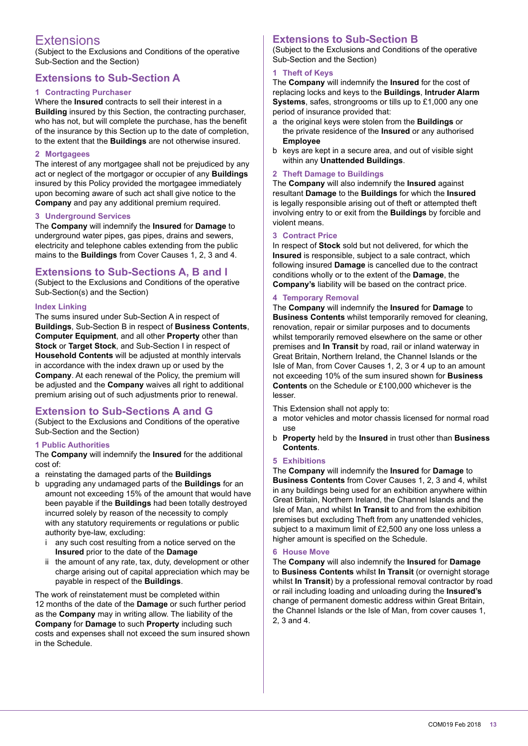# Extensions

(Subject to the Exclusions and Conditions of the operative Sub-Section and the Section)

# **Extensions to Sub-Section A**

#### **1 Contracting Purchaser**

Where the **Insured** contracts to sell their interest in a **Building** insured by this Section, the contracting purchaser, who has not, but will complete the purchase, has the benefit of the insurance by this Section up to the date of completion, to the extent that the **Buildings** are not otherwise insured.

#### **2 Mortgagees**

The interest of any mortgagee shall not be prejudiced by any act or neglect of the mortgagor or occupier of any **Buildings** insured by this Policy provided the mortgagee immediately upon becoming aware of such act shall give notice to the **Company** and pay any additional premium required.

#### **3 Underground Services**

The **Company** will indemnify the **Insured** for **Damage** to underground water pipes, gas pipes, drains and sewers, electricity and telephone cables extending from the public mains to the **Buildings** from Cover Causes 1, 2, 3 and 4.

# **Extensions to Sub-Sections A, B and I**

(Subject to the Exclusions and Conditions of the operative Sub-Section(s) and the Section)

#### **Index Linking**

The sums insured under Sub-Section A in respect of **Buildings**, Sub-Section B in respect of **Business Contents**, **Computer Equipment**, and all other **Property** other than **Stock** or **Target Stock**, and Sub-Section I in respect of **Household Contents** will be adjusted at monthly intervals in accordance with the index drawn up or used by the **Company**. At each renewal of the Policy, the premium will be adjusted and the **Company** waives all right to additional premium arising out of such adjustments prior to renewal.

# **Extension to Sub-Sections A and G**

(Subject to the Exclusions and Conditions of the operative Sub-Section and the Section)

#### **1 Public Authorities**

The **Company** will indemnify the **Insured** for the additional cost of:

- a reinstating the damaged parts of the **Buildings**
- b upgrading any undamaged parts of the **Buildings** for an amount not exceeding 15% of the amount that would have been payable if the **Buildings** had been totally destroyed incurred solely by reason of the necessity to comply with any statutory requirements or regulations or public authority bye-law, excluding:
	- i any such cost resulting from a notice served on the **Insured** prior to the date of the **Damage**
	- ii the amount of any rate, tax, duty, development or other charge arising out of capital appreciation which may be payable in respect of the **Buildings**.

The work of reinstatement must be completed within 12 months of the date of the **Damage** or such further period as the **Company** may in writing allow. The liability of the **Company** for **Damage** to such **Property** including such costs and expenses shall not exceed the sum insured shown in the Schedule.

#### **Extensions to Sub-Section B**

(Subject to the Exclusions and Conditions of the operative Sub-Section and the Section)

#### **1 Theft of Keys**

The **Company** will indemnify the **Insured** for the cost of replacing locks and keys to the **Buildings**, **Intruder Alarm Systems**, safes, strongrooms or tills up to £1,000 any one period of insurance provided that:

- a the original keys were stolen from the **Buildings** or the private residence of the **Insured** or any authorised **Employee**
- b keys are kept in a secure area, and out of visible sight within any **Unattended Buildings**.

#### **2 Theft Damage to Buildings**

The **Company** will also indemnify the **Insured** against resultant **Damage** to the **Buildings** for which the **Insured** is legally responsible arising out of theft or attempted theft involving entry to or exit from the **Buildings** by forcible and violent means.

#### **3 Contract Price**

In respect of **Stock** sold but not delivered, for which the **Insured** is responsible, subject to a sale contract, which following insured **Damage** is cancelled due to the contract conditions wholly or to the extent of the **Damage**, the **Company's** liability will be based on the contract price.

#### **4 Temporary Removal**

The **Company** will indemnify the **Insured** for **Damage** to **Business Contents** whilst temporarily removed for cleaning, renovation, repair or similar purposes and to documents whilst temporarily removed elsewhere on the same or other premises and **In Transit** by road, rail or inland waterway in Great Britain, Northern Ireland, the Channel Islands or the Isle of Man, from Cover Causes 1, 2, 3 or 4 up to an amount not exceeding 10% of the sum insured shown for **Business Contents** on the Schedule or £100,000 whichever is the lesser.

This Extension shall not apply to:

- a motor vehicles and motor chassis licensed for normal road use
- b **Property** held by the **Insured** in trust other than **Business Contents**.

#### **5 Exhibitions**

The **Company** will indemnify the **Insured** for **Damage** to **Business Contents** from Cover Causes 1, 2, 3 and 4, whilst in any buildings being used for an exhibition anywhere within Great Britain, Northern Ireland, the Channel Islands and the Isle of Man, and whilst **In Transit** to and from the exhibition premises but excluding Theft from any unattended vehicles, subject to a maximum limit of £2,500 any one loss unless a higher amount is specified on the Schedule.

#### **6 House Move**

The **Company** will also indemnify the **Insured** for **Damage** to **Business Contents** whilst **In Transit** (or overnight storage whilst **In Transit**) by a professional removal contractor by road or rail including loading and unloading during the **Insured's** change of permanent domestic address within Great Britain, the Channel Islands or the Isle of Man, from cover causes 1, 2, 3 and 4.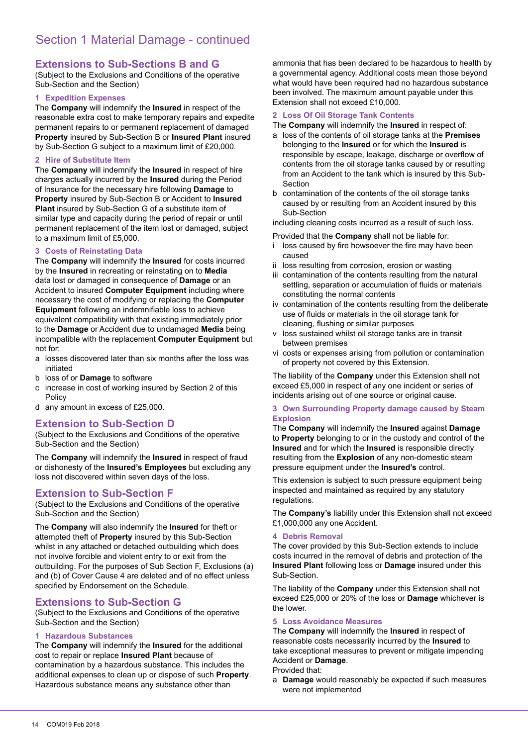# **Extensions to Sub-Sections B and G**

(Subject to the Exclusions and Conditions of the operative Sub-Section and the Section)

#### **1 Expedition Expenses**

The **Company** will indemnify the **Insured** in respect of the reasonable extra cost to make temporary repairs and expedite permanent repairs to or permanent replacement of damaged **Property** insured by Sub-Section B or **Insured Plant** insured by Sub-Section G subject to a maximum limit of £20,000.

#### **2 Hire of Substitute Item**

The **Company** will indemnify the **Insured** in respect of hire charges actually incurred by the **Insured** during the Period of Insurance for the necessary hire following **Damage** to **Property** insured by Sub-Section B or Accident to **Insured Plant** insured by Sub-Section G of a substitute item of similar type and capacity during the period of repair or until permanent replacement of the item lost or damaged, subject to a maximum limit of £5,000.

#### **3 Costs of Reinstating Data**

The **Company** will indemnify the **Insured** for costs incurred by the **Insured** in recreating or reinstating on to **Media** data lost or damaged in consequence of **Damage** or an Accident to insured **Computer Equipment** including where necessary the cost of modifying or replacing the **Computer Equipment** following an indemnifiable loss to achieve equivalent compatibility with that existing immediately prior to the **Damage** or Accident due to undamaged **Media** being incompatible with the replacement **Computer Equipment** but not for:

- a losses discovered later than six months after the loss was initiated
- b loss of or **Damage** to software
- c increase in cost of working insured by Section 2 of this Policy
- d any amount in excess of £25,000.

#### **Extension to Sub-Section D**

(Subject to the Exclusions and Conditions of the operative Sub-Section and the Section)

The **Company** will indemnify the **Insured** in respect of fraud or dishonesty of the **Insured's Employees** but excluding any loss not discovered within seven days of the loss.

# **Extension to Sub-Section F**

(Subject to the Exclusions and Conditions of the operative Sub-Section and the Section)

The **Company** will also indemnify the **Insured** for theft or attempted theft of **Property** insured by this Sub-Section whilst in any attached or detached outbuilding which does not involve forcible and violent entry to or exit from the outbuilding. For the purposes of Sub Section F, Exclusions (a) and (b) of Cover Cause 4 are deleted and of no effect unless specified by Endorsement on the Schedule.

# **Extensions to Sub-Section G**

(Subject to the Exclusions and Conditions of the operative Sub-Section and the Section)

#### **1 Hazardous Substances**

The **Company** will indemnify the **Insured** for the additional cost to repair or replace **Insured Plant** because of contamination by a hazardous substance. This includes the additional expenses to clean up or dispose of such **Property**. Hazardous substance means any substance other than

ammonia that has been declared to be hazardous to health by a governmental agency. Additional costs mean those beyond what would have been required had no hazardous substance been involved. The maximum amount payable under this Extension shall not exceed £10,000.

#### **2 Loss Of Oil Storage Tank Contents**

The **Company** will indemnify the **Insured** in respect of:

- a loss of the contents of oil storage tanks at the **Premises** belonging to the **Insured** or for which the **Insured** is responsible by escape, leakage, discharge or overlow of contents from the oil storage tanks caused by or resulting from an Accident to the tank which is insured by this Sub-Section
- b contamination of the contents of the oil storage tanks caused by or resulting from an Accident insured by this Sub-Section

including cleaning costs incurred as a result of such loss.

- Provided that the **Company** shall not be liable for: i loss caused by fire howsoever the fire may have been caused
- ii loss resulting from corrosion, erosion or wasting
- iii contamination of the contents resulting from the natural settling, separation or accumulation of fluids or materials constituting the normal contents
- iv contamination of the contents resulting from the deliberate use of luids or materials in the oil storage tank for cleaning, flushing or similar purposes
- loss sustained whilst oil storage tanks are in transit between premises
- vi costs or expenses arising from pollution or contamination of property not covered by this Extension.

The liability of the **Company** under this Extension shall not exceed £5,000 in respect of any one incident or series of incidents arising out of one source or original cause.

#### **3 Own Surrounding Property damage caused by Steam Explosion**

The **Company** will indemnify the **Insured** against **Damage** to **Property** belonging to or in the custody and control of the **Insured** and for which the **Insured** is responsible directly resulting from the **Explosion** of any non-domestic steam pressure equipment under the **Insured's** control.

This extension is subject to such pressure equipment being inspected and maintained as required by any statutory regulations.

The **Company's** liability under this Extension shall not exceed £1,000,000 any one Accident.

#### **4 Debris Removal**

The cover provided by this Sub-Section extends to include costs incurred in the removal of debris and protection of the **Insured Plant** following loss or **Damage** insured under this Sub-Section.

The liability of the **Company** under this Extension shall not exceed £25,000 or 20% of the loss or **Damage** whichever is the lower.

#### **5 Loss Avoidance Measures**

The **Company** will indemnify the **Insured** in respect of reasonable costs necessarily incurred by the **Insured** to take exceptional measures to prevent or mitigate impending Accident or **Damage**.

#### Provided that:

a **Damage** would reasonably be expected if such measures were not implemented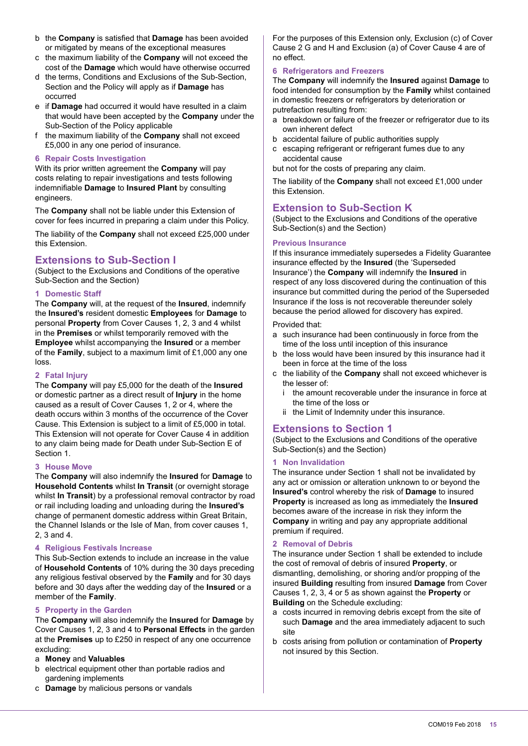- b the **Company** is satisied that **Damage** has been avoided or mitigated by means of the exceptional measures
- c the maximum liability of the **Company** will not exceed the cost of the **Damage** which would have otherwise occurred
- d the terms, Conditions and Exclusions of the Sub-Section, Section and the Policy will apply as if **Damage** has
- occurred e if **Damage** had occurred it would have resulted in a claim that would have been accepted by the **Company** under the Sub-Section of the Policy applicable
- f the maximum liability of the **Company** shall not exceed £5,000 in any one period of insurance.

#### **6 Repair Costs Investigation**

With its prior written agreement the **Company** will pay costs relating to repair investigations and tests following indemniiable **Damage** to **Insured Plant** by consulting engineers.

The **Company** shall not be liable under this Extension of cover for fees incurred in preparing a claim under this Policy.

The liability of the **Company** shall not exceed £25,000 under this Extension.

# **Extensions to Sub-Section I**

(Subject to the Exclusions and Conditions of the operative Sub-Section and the Section)

#### **1 Domestic Staff**

The **Company** will, at the request of the **Insured**, indemnify the **Insured's** resident domestic **Employees** for **Damage** to personal **Property** from Cover Causes 1, 2, 3 and 4 whilst in the **Premises** or whilst temporarily removed with the **Employee** whilst accompanying the **Insured** or a member of the **Family**, subject to a maximum limit of £1,000 any one loss.

#### **2 Fatal Injury**

The **Company** will pay £5,000 for the death of the **Insured** or domestic partner as a direct result of **Injury** in the home caused as a result of Cover Causes 1, 2 or 4, where the death occurs within 3 months of the occurrence of the Cover Cause. This Extension is subject to a limit of £5,000 in total. This Extension will not operate for Cover Cause 4 in addition to any claim being made for Death under Sub-Section E of Section 1.

#### **3 House Move**

The **Company** will also indemnify the **Insured** for **Damage** to **Household Contents** whilst **In Transit** (or overnight storage whilst **In Transit**) by a professional removal contractor by road or rail including loading and unloading during the **Insured's** change of permanent domestic address within Great Britain, the Channel Islands or the Isle of Man, from cover causes 1, 2, 3 and 4.

#### **4 Religious Festivals Increase**

This Sub-Section extends to include an increase in the value of **Household Contents** of 10% during the 30 days preceding any religious festival observed by the **Family** and for 30 days before and 30 days after the wedding day of the **Insured** or a member of the **Family**.

#### **5 Property in the Garden**

The **Company** will also indemnify the **Insured** for **Damage** by Cover Causes 1, 2, 3 and 4 to **Personal Effects** in the garden at the **Premises** up to £250 in respect of any one occurrence excluding:

#### a **Money** and **Valuables**

- b electrical equipment other than portable radios and gardening implements
- c **Damage** by malicious persons or vandals

For the purposes of this Extension only, Exclusion (c) of Cover Cause 2 G and H and Exclusion (a) of Cover Cause 4 are of no effect.

#### **6 Refrigerators and Freezers**

The **Company** will indemnify the **Insured** against **Damage** to food intended for consumption by the **Family** whilst contained in domestic freezers or refrigerators by deterioration or putrefaction resulting from:

- a breakdown or failure of the freezer or refrigerator due to its own inherent defect
- b accidental failure of public authorities supply
- c escaping refrigerant or refrigerant fumes due to any accidental cause

but not for the costs of preparing any claim.

The liability of the **Company** shall not exceed £1,000 under this Extension.

#### **Extension to Sub-Section K**

(Subject to the Exclusions and Conditions of the operative Sub-Section(s) and the Section)

#### **Previous Insurance**

If this insurance immediately supersedes a Fidelity Guarantee insurance effected by the **Insured** (the 'Superseded Insurance') the **Company** will indemnify the **Insured** in respect of any loss discovered during the continuation of this insurance but committed during the period of the Superseded Insurance if the loss is not recoverable thereunder solely because the period allowed for discovery has expired.

#### Provided that:

- a such insurance had been continuously in force from the time of the loss until inception of this insurance
- b the loss would have been insured by this insurance had it been in force at the time of the loss
- c the liability of the **Company** shall not exceed whichever is the lesser of:
	- i the amount recoverable under the insurance in force at the time of the loss or
	- ii the Limit of Indemnity under this insurance.

# **Extensions to Section 1**

(Subject to the Exclusions and Conditions of the operative Sub-Section(s) and the Section)

#### **1 Non Invalidation**

The insurance under Section 1 shall not be invalidated by any act or omission or alteration unknown to or beyond the **Insured's** control whereby the risk of **Damage** to insured **Property** is increased as long as immediately the **Insured** becomes aware of the increase in risk they inform the **Company** in writing and pay any appropriate additional premium if required.

#### **2 Removal of Debris**

The insurance under Section 1 shall be extended to include the cost of removal of debris of insured **Property**, or dismantling, demolishing, or shoring and/or propping of the insured **Building** resulting from insured **Damage** from Cover Causes 1, 2, 3, 4 or 5 as shown against the **Property** or **Building** on the Schedule excluding:

- a costs incurred in removing debris except from the site of such **Damage** and the area immediately adjacent to such site
- b costs arising from pollution or contamination of **Property** not insured by this Section.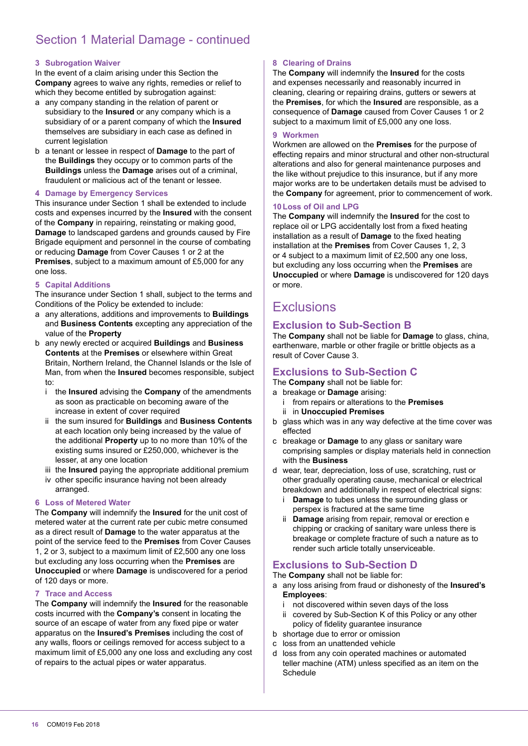# Section 1 Material Damage - continued

#### **3 Subrogation Waiver**

In the event of a claim arising under this Section the **Company** agrees to waive any rights, remedies or relief to which they become entitled by subrogation against:

- a any company standing in the relation of parent or subsidiary to the **Insured** or any company which is a subsidiary of or a parent company of which the **Insured** themselves are subsidiary in each case as defined in current legislation
- b a tenant or lessee in respect of **Damage** to the part of the **Buildings** they occupy or to common parts of the **Buildings** unless the **Damage** arises out of a criminal, fraudulent or malicious act of the tenant or lessee.

#### **4 Damage by Emergency Services**

This insurance under Section 1 shall be extended to include costs and expenses incurred by the **Insured** with the consent of the **Company** in repairing, reinstating or making good, **Damage** to landscaped gardens and grounds caused by Fire Brigade equipment and personnel in the course of combating or reducing **Damage** from Cover Causes 1 or 2 at the **Premises**, subject to a maximum amount of £5,000 for any one loss.

#### **5 Capital Additions**

The insurance under Section 1 shall, subject to the terms and Conditions of the Policy be extended to include:

- a any alterations, additions and improvements to **Buildings** and **Business Contents** excepting any appreciation of the value of the **Property**
- b any newly erected or acquired **Buildings** and **Business Contents** at the **Premises** or elsewhere within Great Britain, Northern Ireland, the Channel Islands or the Isle of Man, from when the **Insured** becomes responsible, subject to:
	- i the **Insured** advising the **Company** of the amendments as soon as practicable on becoming aware of the increase in extent of cover required
	- ii the sum insured for **Buildings** and **Business Contents** at each location only being increased by the value of the additional **Property** up to no more than 10% of the existing sums insured or £250,000, whichever is the lesser, at any one location
	- iii the **Insured** paying the appropriate additional premium
	- iv other specific insurance having not been already arranged.

#### **6 Loss of Metered Water**

The **Company** will indemnify the **Insured** for the unit cost of metered water at the current rate per cubic metre consumed as a direct result of **Damage** to the water apparatus at the point of the service feed to the **Premises** from Cover Causes 1, 2 or 3, subject to a maximum limit of £2,500 any one loss but excluding any loss occurring when the **Premises** are **Unoccupied** or where **Damage** is undiscovered for a period of 120 days or more.

#### **7 Trace and Access**

The **Company** will indemnify the **Insured** for the reasonable costs incurred with the **Company's** consent in locating the source of an escape of water from any fixed pipe or water apparatus on the **Insured's Premises** including the cost of any walls, floors or ceilings removed for access subject to a maximum limit of £5,000 any one loss and excluding any cost of repairs to the actual pipes or water apparatus.

#### **8 Clearing of Drains**

The **Company** will indemnify the **Insured** for the costs and expenses necessarily and reasonably incurred in cleaning, clearing or repairing drains, gutters or sewers at the **Premises**, for which the **Insured** are responsible, as a consequence of **Damage** caused from Cover Causes 1 or 2 subject to a maximum limit of £5,000 any one loss.

#### **9 Workmen**

Workmen are allowed on the **Premises** for the purpose of effecting repairs and minor structural and other non-structural alterations and also for general maintenance purposes and the like without prejudice to this insurance, but if any more major works are to be undertaken details must be advised to the **Company** for agreement, prior to commencement of work.

#### **10 Loss of Oil and LPG**

The **Company** will indemnify the **Insured** for the cost to replace oil or LPG accidentally lost from a fixed heating installation as a result of **Damage** to the fixed heating installation at the **Premises** from Cover Causes 1, 2, 3 or 4 subject to a maximum limit of £2,500 any one loss, but excluding any loss occurring when the **Premises** are **Unoccupied** or where **Damage** is undiscovered for 120 days or more.

# **Exclusions**

# **Exclusion to Sub-Section B**

The **Company** shall not be liable for **Damage** to glass, china, earthenware, marble or other fragile or brittle objects as a result of Cover Cause 3.

# **Exclusions to Sub-Section C**

The **Company** shall not be liable for:

- a breakage or **Damage** arising:
	- i from repairs or alterations to the **Premises** ii in **Unoccupied Premises**
- b glass which was in any way defective at the time cover was effected
- c breakage or **Damage** to any glass or sanitary ware comprising samples or display materials held in connection with the **Business**
- d wear, tear, depreciation, loss of use, scratching, rust or other gradually operating cause, mechanical or electrical breakdown and additionally in respect of electrical signs:
	- i **Damage** to tubes unless the surrounding glass or perspex is fractured at the same time
	- ii **Damage** arising from repair, removal or erection e chipping or cracking of sanitary ware unless there is breakage or complete fracture of such a nature as to render such article totally unserviceable.

# **Exclusions to Sub-Section D**

The **Company** shall not be liable for:

- a any loss arising from fraud or dishonesty of the **Insured's Employees**:
	- i not discovered within seven days of the loss
	- ii covered by Sub-Section K of this Policy or any other policy of idelity guarantee insurance
- b shortage due to error or omission
- c loss from an unattended vehicle
- d loss from any coin operated machines or automated teller machine (ATM) unless specified as an item on the Schedule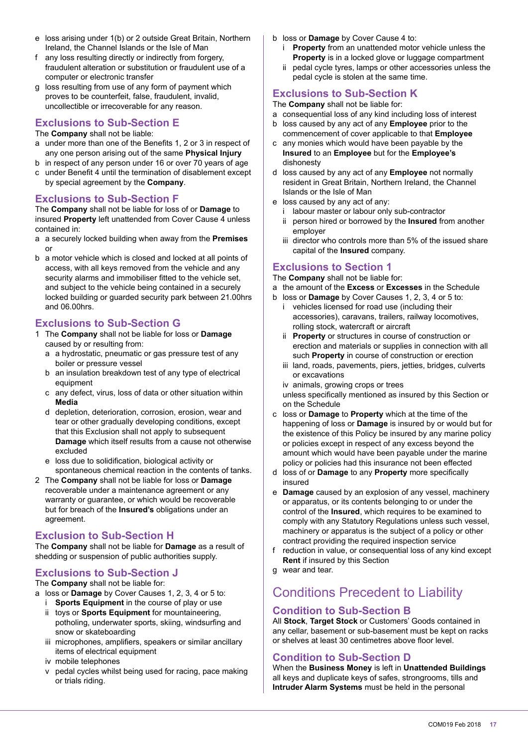- e loss arising under 1(b) or 2 outside Great Britain, Northern Ireland, the Channel Islands or the Isle of Man
- f any loss resulting directly or indirectly from forgery, fraudulent alteration or substitution or fraudulent use of a computer or electronic transfer
- g loss resulting from use of any form of payment which proves to be counterfeit, false, fraudulent, invalid, uncollectible or irrecoverable for any reason.

#### **Exclusions to Sub-Section E**

The **Company** shall not be liable:

- a under more than one of the Benefits 1, 2 or 3 in respect of any one person arising out of the same **Physical Injury**
- b in respect of any person under 16 or over 70 years of age
- c under Beneit 4 until the termination of disablement except by special agreement by the **Company**.

# **Exclusions to Sub-Section F**

The **Company** shall not be liable for loss of or **Damage** to insured **Property** left unattended from Cover Cause 4 unless contained in:

- a a securely locked building when away from the **Premises** or
- b a motor vehicle which is closed and locked at all points of access, with all keys removed from the vehicle and any security alarms and immobiliser fitted to the vehicle set. and subject to the vehicle being contained in a securely locked building or guarded security park between 21.00hrs and 06.00hrs.

# **Exclusions to Sub-Section G**

- 1 The **Company** shall not be liable for loss or **Damage**  caused by or resulting from:
	- a a hydrostatic, pneumatic or gas pressure test of any boiler or pressure vessel
	- b an insulation breakdown test of any type of electrical equipment
	- c any defect, virus, loss of data or other situation within **Media**
	- d depletion, deterioration, corrosion, erosion, wear and tear or other gradually developing conditions, except that this Exclusion shall not apply to subsequent **Damage** which itself results from a cause not otherwise excluded
	- e loss due to solidification, biological activity or spontaneous chemical reaction in the contents of tanks.
- 2 The **Company** shall not be liable for loss or **Damage** recoverable under a maintenance agreement or any warranty or guarantee, or which would be recoverable but for breach of the **Insured's** obligations under an agreement.

# **Exclusion to Sub-Section H**

The **Company** shall not be liable for **Damage** as a result of shedding or suspension of public authorities supply.

# **Exclusions to Sub-Section J**

The **Company** shall not be liable for:

- a loss or **Damage** by Cover Causes 1, 2, 3, 4 or 5 to:
	- i **Sports Equipment** in the course of play or use ii toys or **Sports Equipment** for mountaineering, potholing, underwater sports, skiing, windsurfing and snow or skateboarding
	- iii microphones, amplifiers, speakers or similar ancillary items of electrical equipment
	- iv mobile telephones
	- v pedal cycles whilst being used for racing, pace making or trials riding.
- b loss or **Damage** by Cover Cause 4 to:
	- i **Property** from an unattended motor vehicle unless the **Property** is in a locked glove or luggage compartment
	- ii pedal cycle tyres, lamps or other accessories unless the pedal cycle is stolen at the same time.

# **Exclusions to Sub-Section K**

The **Company** shall not be liable for:

- a consequential loss of any kind including loss of interest
- b loss caused by any act of any **Employee** prior to the commencement of cover applicable to that **Employee**
- c any monies which would have been payable by the **Insured** to an **Employee** but for the **Employee's** dishonesty
- d loss caused by any act of any **Employee** not normally resident in Great Britain, Northern Ireland, the Channel Islands or the Isle of Man
- e loss caused by any act of any:
	- i labour master or labour only sub-contractor ii person hired or borrowed by the **Insured** from another employer
	- iii director who controls more than 5% of the issued share capital of the **Insured** company.

# **Exclusions to Section 1**

The **Company** shall not be liable for:

- a the amount of the **Excess** or **Excesses** in the Schedule
- b loss or **Damage** by Cover Causes 1, 2, 3, 4 or 5 to: i vehicles licensed for road use (including their accessories), caravans, trailers, railway locomotives, rolling stock, watercraft or aircraft
	- ii **Property** or structures in course of construction or erection and materials or supplies in connection with all such **Property** in course of construction or erection
	- iii land, roads, pavements, piers, jetties, bridges, culverts or excavations

iv animals, growing crops or trees unless specifically mentioned as insured by this Section or on the Schedule

- c loss or **Damage** to **Property** which at the time of the happening of loss or **Damage** is insured by or would but for the existence of this Policy be insured by any marine policy or policies except in respect of any excess beyond the amount which would have been payable under the marine policy or policies had this insurance not been effected
- d loss of or **Damage** to any **Property** more speciically insured
- e **Damage** caused by an explosion of any vessel, machinery or apparatus, or its contents belonging to or under the control of the **Insured**, which requires to be examined to comply with any Statutory Regulations unless such vessel, machinery or apparatus is the subject of a policy or other contract providing the required inspection service
- f reduction in value, or consequential loss of any kind except **Rent** if insured by this Section
- g wear and tear.

# Conditions Precedent to Liability

# **Condition to Sub-Section B**

All **Stock**, **Target Stock** or Customers' Goods contained in any cellar, basement or sub-basement must be kept on racks or shelves at least 30 centimetres above floor level.

# **Condition to Sub-Section D**

When the **Business Money** is left in **Unattended Buildings** all keys and duplicate keys of safes, strongrooms, tills and **Intruder Alarm Systems** must be held in the personal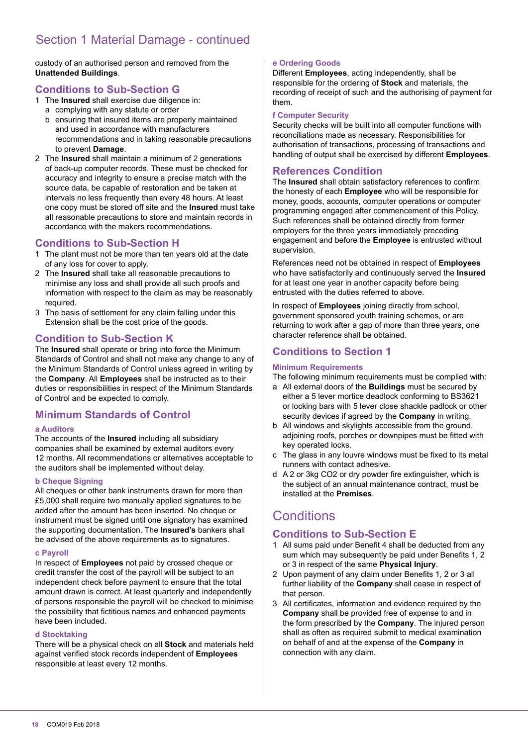# Section 1 Material Damage - continued

custody of an authorised person and removed from the **Unattended Buildings**.

# **Conditions to Sub-Section G**

- 1 The **Insured** shall exercise due diligence in:
	- a complying with any statute or order
	- b ensuring that insured items are properly maintained and used in accordance with manufacturers recommendations and in taking reasonable precautions to prevent **Damage**.
- 2 The **Insured** shall maintain a minimum of 2 generations of back-up computer records. These must be checked for accuracy and integrity to ensure a precise match with the source data, be capable of restoration and be taken at intervals no less frequently than every 48 hours. At least one copy must be stored off site and the **Insured** must take all reasonable precautions to store and maintain records in accordance with the makers recommendations.

# **Conditions to Sub-Section H**

- 1 The plant must not be more than ten years old at the date of any loss for cover to apply.
- 2 The **Insured** shall take all reasonable precautions to minimise any loss and shall provide all such proofs and information with respect to the claim as may be reasonably required.
- 3 The basis of settlement for any claim falling under this Extension shall be the cost price of the goods.

# **Condition to Sub-Section K**

The **Insured** shall operate or bring into force the Minimum Standards of Control and shall not make any change to any of the Minimum Standards of Control unless agreed in writing by the **Company**. All **Employees** shall be instructed as to their duties or responsibilities in respect of the Minimum Standards of Control and be expected to comply.

# **Minimum Standards of Control**

#### **a Auditors**

The accounts of the **Insured** including all subsidiary companies shall be examined by external auditors every 12 months. All recommendations or alternatives acceptable to the auditors shall be implemented without delay.

#### **b Cheque Signing**

All cheques or other bank instruments drawn for more than £5,000 shall require two manually applied signatures to be added after the amount has been inserted. No cheque or instrument must be signed until one signatory has examined the supporting documentation. The **Insured's** bankers shall be advised of the above requirements as to signatures.

#### **c Payroll**

In respect of **Employees** not paid by crossed cheque or credit transfer the cost of the payroll will be subject to an independent check before payment to ensure that the total amount drawn is correct. At least quarterly and independently of persons responsible the payroll will be checked to minimise the possibility that fictitious names and enhanced payments have been included.

#### **d Stocktaking**

There will be a physical check on all **Stock** and materials held against veriied stock records independent of **Employees** responsible at least every 12 months.

#### **e Ordering Goods**

Different **Employees**, acting independently, shall be responsible for the ordering of **Stock** and materials, the recording of receipt of such and the authorising of payment for them.

#### **f Computer Security**

Security checks will be built into all computer functions with reconciliations made as necessary. Responsibilities for authorisation of transactions, processing of transactions and handling of output shall be exercised by different **Employees**.

# **References Condition**

The **Insured** shall obtain satisfactory references to conirm the honesty of each **Employee** who will be responsible for money, goods, accounts, computer operations or computer programming engaged after commencement of this Policy. Such references shall be obtained directly from former employers for the three years immediately preceding engagement and before the **Employee** is entrusted without supervision.

References need not be obtained in respect of **Employees** who have satisfactorily and continuously served the **Insured** for at least one year in another capacity before being entrusted with the duties referred to above.

In respect of **Employees** joining directly from school, government sponsored youth training schemes, or are returning to work after a gap of more than three years, one character reference shall be obtained.

# **Conditions to Section 1**

#### **Minimum Requirements**

The following minimum requirements must be complied with:

- a All external doors of the **Buildings** must be secured by either a 5 lever mortice deadlock conforming to BS3621 or locking bars with 5 lever close shackle padlock or other security devices if agreed by the **Company** in writing.
- b All windows and skylights accessible from the ground, adjoining roofs, porches or downpipes must be itted with key operated locks.
- c The glass in any louvre windows must be fixed to its metal runners with contact adhesive.
- d A 2 or 3kg CO2 or dry powder ire extinguisher, which is the subject of an annual maintenance contract, must be installed at the **Premises**.

# **Conditions**

# **Conditions to Sub-Section E**

- 1 All sums paid under Benefit 4 shall be deducted from any sum which may subsequently be paid under Benefits 1, 2 or 3 in respect of the same **Physical Injury**.
- 2 Upon payment of any claim under Beneits 1, 2 or 3 all further liability of the **Company** shall cease in respect of that person.
- 3 All certificates, information and evidence required by the **Company** shall be provided free of expense to and in the form prescribed by the **Company**. The injured person shall as often as required submit to medical examination on behalf of and at the expense of the **Company** in connection with any claim.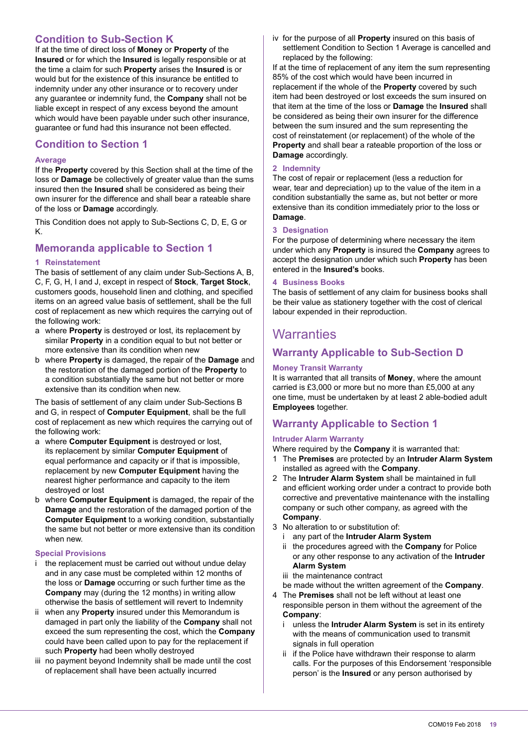# **Condition to Sub-Section K**

If at the time of direct loss of **Money** or **Property** of the **Insured** or for which the **Insured** is legally responsible or at the time a claim for such **Property** arises the **Insured** is or would but for the existence of this insurance be entitled to indemnity under any other insurance or to recovery under any guarantee or indemnity fund, the **Company** shall not be liable except in respect of any excess beyond the amount which would have been payable under such other insurance, guarantee or fund had this insurance not been effected.

# **Condition to Section 1**

#### **Average**

If the **Property** covered by this Section shall at the time of the loss or **Damage** be collectively of greater value than the sums insured then the **Insured** shall be considered as being their own insurer for the difference and shall bear a rateable share of the loss or **Damage** accordingly.

This Condition does not apply to Sub-Sections C, D, E, G or K.

# **Memoranda applicable to Section 1**

#### **1 Reinstatement**

The basis of settlement of any claim under Sub-Sections A, B, C, F, G, H, I and J, except in respect of **Stock**, **Target Stock**, customers goods, household linen and clothing, and specified items on an agreed value basis of settlement, shall be the full cost of replacement as new which requires the carrying out of the following work:

- a where **Property** is destroyed or lost, its replacement by similar **Property** in a condition equal to but not better or more extensive than its condition when new
- b where **Property** is damaged, the repair of the **Damage** and the restoration of the damaged portion of the **Property** to a condition substantially the same but not better or more extensive than its condition when new.

The basis of settlement of any claim under Sub-Sections B and G, in respect of **Computer Equipment**, shall be the full cost of replacement as new which requires the carrying out of the following work:

- a where **Computer Equipment** is destroyed or lost, its replacement by similar **Computer Equipment** of equal performance and capacity or if that is impossible, replacement by new **Computer Equipment** having the nearest higher performance and capacity to the item destroyed or lost
- b where **Computer Equipment** is damaged, the repair of the **Damage** and the restoration of the damaged portion of the **Computer Equipment** to a working condition, substantially the same but not better or more extensive than its condition when new.

#### **Special Provisions**

- i the replacement must be carried out without undue delay and in any case must be completed within 12 months of the loss or **Damage** occurring or such further time as the **Company** may (during the 12 months) in writing allow otherwise the basis of settlement will revert to Indemnity
- ii when any **Property** insured under this Memorandum is damaged in part only the liability of the **Company** shall not exceed the sum representing the cost, which the **Company** could have been called upon to pay for the replacement if such **Property** had been wholly destroyed
- iii no payment beyond Indemnity shall be made until the cost of replacement shall have been actually incurred

iv for the purpose of all **Property** insured on this basis of settlement Condition to Section 1 Average is cancelled and replaced by the following:

If at the time of replacement of any item the sum representing 85% of the cost which would have been incurred in replacement if the whole of the **Property** covered by such item had been destroyed or lost exceeds the sum insured on that item at the time of the loss or **Damage** the **Insured** shall be considered as being their own insurer for the difference between the sum insured and the sum representing the cost of reinstatement (or replacement) of the whole of the **Property** and shall bear a rateable proportion of the loss or **Damage** accordingly.

#### **2 Indemnity**

The cost of repair or replacement (less a reduction for wear, tear and depreciation) up to the value of the item in a condition substantially the same as, but not better or more extensive than its condition immediately prior to the loss or **Damage**.

#### **3 Designation**

For the purpose of determining where necessary the item under which any **Property** is insured the **Company** agrees to accept the designation under which such **Property** has been entered in the **Insured's** books.

#### **4 Business Books**

The basis of settlement of any claim for business books shall be their value as stationery together with the cost of clerical labour expended in their reproduction.

# **Warranties**

# **Warranty Applicable to Sub-Section D**

#### **Money Transit Warranty**

It is warranted that all transits of **Money**, where the amount carried is £3,000 or more but no more than £5,000 at any one time, must be undertaken by at least 2 able-bodied adult **Employees** together.

# **Warranty Applicable to Section 1**

#### **Intruder Alarm Warranty**

Where required by the **Company** it is warranted that:

- 1 The **Premises** are protected by an **Intruder Alarm System** installed as agreed with the **Company**.
- 2 The **Intruder Alarm System** shall be maintained in full and eficient working order under a contract to provide both corrective and preventative maintenance with the installing company or such other company, as agreed with the **Company**.
- 3 No alteration to or substitution of:
	- i any part of the **Intruder Alarm System**
	- ii the procedures agreed with the **Company** for Police or any other response to any activation of the **Intruder Alarm System**
	- iii the maintenance contract
	- be made without the written agreement of the **Company**.
- 4 The **Premises** shall not be left without at least one responsible person in them without the agreement of the **Company**:
	- unless the **Intruder Alarm System** is set in its entirety with the means of communication used to transmit signals in full operation
	- ii if the Police have withdrawn their response to alarm calls. For the purposes of this Endorsement 'responsible person' is the **Insured** or any person authorised by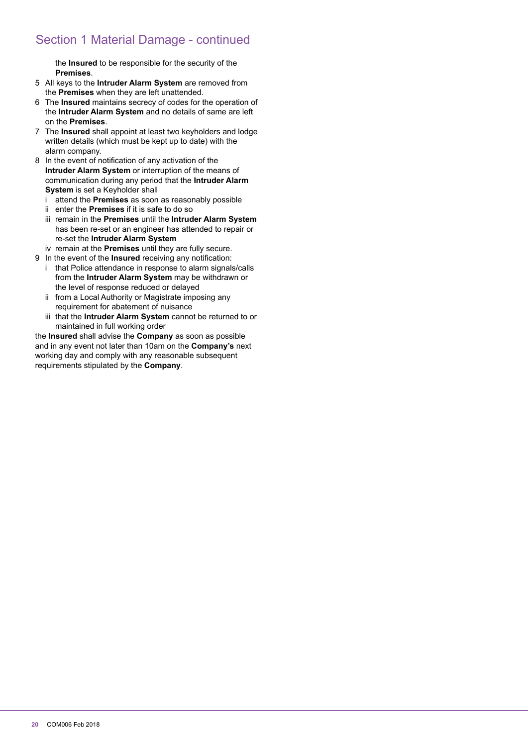# Section 1 Material Damage - continued

the **Insured** to be responsible for the security of the **Premises**.

- 5 All keys to the **Intruder Alarm System** are removed from the **Premises** when they are left unattended.
- 6 The **Insured** maintains secrecy of codes for the operation of the **Intruder Alarm System** and no details of same are left on the **Premises**.
- 7 The **Insured** shall appoint at least two keyholders and lodge written details (which must be kept up to date) with the alarm company.
- 8 In the event of notification of any activation of the **Intruder Alarm System** or interruption of the means of communication during any period that the **Intruder Alarm System** is set a Keyholder shall
	- i attend the **Premises** as soon as reasonably possible
	- ii enter the **Premises** if it is safe to do so
	- iii remain in the **Premises** until the **Intruder Alarm System** has been re-set or an engineer has attended to repair or re-set the **Intruder Alarm System**
- iv remain at the **Premises** until they are fully secure.
- 9 In the event of the **Insured** receiving any notification:
	- i that Police attendance in response to alarm signals/calls from the **Intruder Alarm System** may be withdrawn or the level of response reduced or delayed
	- ii from a Local Authority or Magistrate imposing any requirement for abatement of nuisance
	- iii that the **Intruder Alarm System** cannot be returned to or maintained in full working order

the **Insured** shall advise the **Company** as soon as possible and in any event not later than 10am on the **Company's** next working day and comply with any reasonable subsequent requirements stipulated by the **Company**.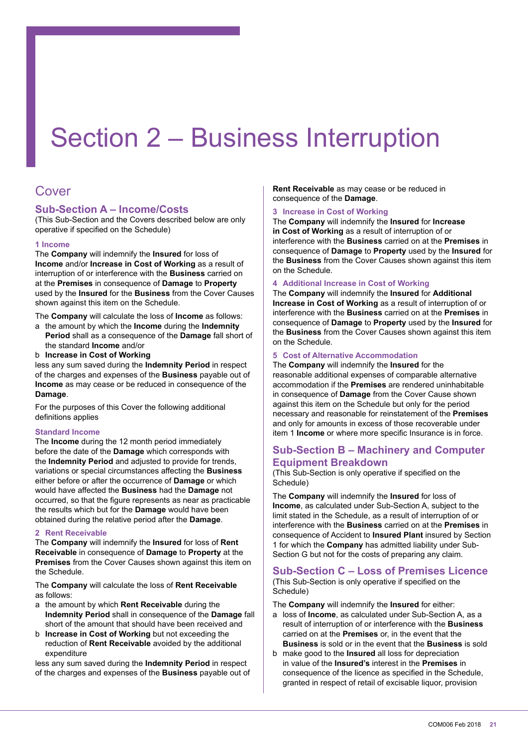# Section 2 – Business Interruption

# Cover

# **Sub-Section A – Income/Costs**

(This Sub-Section and the Covers described below are only operative if specified on the Schedule)

#### **1 Income**

The **Company** will indemnify the **Insured** for loss of **Income** and/or **Increase in Cost of Working** as a result of interruption of or interference with the **Business** carried on at the **Premises** in consequence of **Damage** to **Property** used by the **Insured** for the **Business** from the Cover Causes shown against this item on the Schedule.

The **Company** will calculate the loss of **Income** as follows:

- a the amount by which the **Income** during the **Indemnity Period** shall as a consequence of the **Damage** fall short of the standard **Income** and/or
- b **Increase in Cost of Working**

less any sum saved during the **Indemnity Period** in respect of the charges and expenses of the **Business** payable out of **Income** as may cease or be reduced in consequence of the **Damage**.

For the purposes of this Cover the following additional definitions applies

#### **Standard Income**

The **Income** during the 12 month period immediately before the date of the **Damage** which corresponds with the **Indemnity Period** and adjusted to provide for trends, variations or special circumstances affecting the **Business** either before or after the occurrence of **Damage** or which would have affected the **Business** had the **Damage** not occurred, so that the igure represents as near as practicable the results which but for the **Damage** would have been obtained during the relative period after the **Damage**.

#### **2 Rent Receivable**

The **Company** will indemnify the **Insured** for loss of **Rent Receivable** in consequence of **Damage** to **Property** at the **Premises** from the Cover Causes shown against this item on the Schedule.

The **Company** will calculate the loss of **Rent Receivable** as follows:

- a the amount by which **Rent Receivable** during the **Indemnity Period** shall in consequence of the **Damage** fall short of the amount that should have been received and
- b **Increase in Cost of Working** but not exceeding the reduction of **Rent Receivable** avoided by the additional expenditure

less any sum saved during the **Indemnity Period** in respect of the charges and expenses of the **Business** payable out of **Rent Receivable** as may cease or be reduced in consequence of the **Damage**.

#### **3 Increase in Cost of Working**

The **Company** will indemnify the **Insured** for **Increase in Cost of Working** as a result of interruption of or interference with the **Business** carried on at the **Premises** in consequence of **Damage** to **Property** used by the **Insured** for the **Business** from the Cover Causes shown against this item on the Schedule.

#### **4 Additional Increase in Cost of Working**

The **Company** will indemnify the **Insured** for **Additional Increase in Cost of Working** as a result of interruption of or interference with the **Business** carried on at the **Premises** in consequence of **Damage** to **Property** used by the **Insured** for the **Business** from the Cover Causes shown against this item on the Schedule.

#### **5 Cost of Alternative Accommodation**

The **Company** will indemnify the **Insured** for the reasonable additional expenses of comparable alternative accommodation if the **Premises** are rendered uninhabitable in consequence of **Damage** from the Cover Cause shown against this item on the Schedule but only for the period necessary and reasonable for reinstatement of the **Premises** and only for amounts in excess of those recoverable under item 1 **Income** or where more specific Insurance is in force.

#### **Sub-Section B – Machinery and Computer Equipment Breakdown**

(This Sub-Section is only operative if specified on the Schedule)

The **Company** will indemnify the **Insured** for loss of **Income**, as calculated under Sub-Section A, subject to the limit stated in the Schedule, as a result of interruption of or interference with the **Business** carried on at the **Premises** in consequence of Accident to **Insured Plant** insured by Section 1 for which the **Company** has admitted liability under Sub-Section G but not for the costs of preparing any claim.

# **Sub-Section C – Loss of Premises Licence**

(This Sub-Section is only operative if specified on the Schedule)

The **Company** will indemnify the **Insured** for either:

- a loss of **Income**, as calculated under Sub-Section A, as a result of interruption of or interference with the **Business** carried on at the **Premises** or, in the event that the **Business** is sold or in the event that the **Business** is sold
- b make good to the **Insured** all loss for depreciation in value of the **Insured's** interest in the **Premises** in consequence of the licence as specified in the Schedule, granted in respect of retail of excisable liquor, provision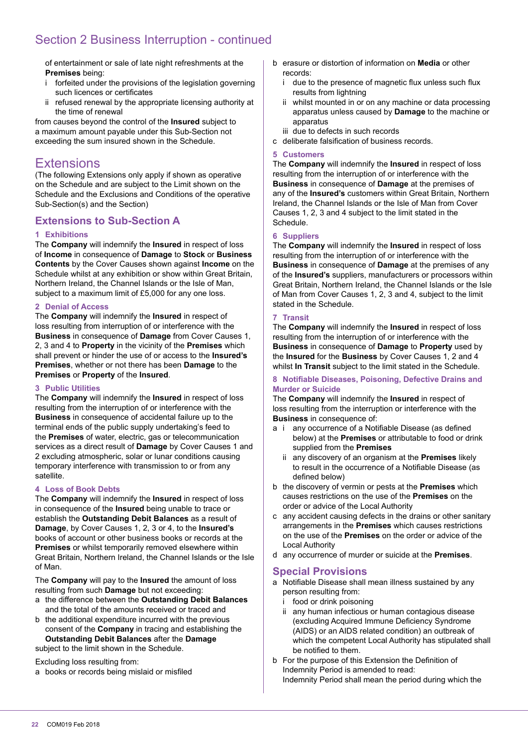# Section 2 Business Interruption - continued

of entertainment or sale of late night refreshments at the **Premises** being:

- i forfeited under the provisions of the legislation governing such licences or certificates
- ii refused renewal by the appropriate licensing authority at the time of renewal

from causes beyond the control of the **Insured** subject to a maximum amount payable under this Sub-Section not exceeding the sum insured shown in the Schedule.

# **Extensions**

(The following Extensions only apply if shown as operative on the Schedule and are subject to the Limit shown on the Schedule and the Exclusions and Conditions of the operative Sub-Section(s) and the Section)

# **Extensions to Sub-Section A**

#### **1 Exhibitions**

The **Company** will indemnify the **Insured** in respect of loss of **Income** in consequence of **Damage** to **Stock** or **Business Contents** by the Cover Causes shown against **Income** on the Schedule whilst at any exhibition or show within Great Britain, Northern Ireland, the Channel Islands or the Isle of Man, subject to a maximum limit of £5,000 for any one loss.

#### **2 Denial of Access**

The **Company** will indemnify the **Insured** in respect of loss resulting from interruption of or interference with the **Business** in consequence of **Damage** from Cover Causes 1, 2, 3 and 4 to **Property** in the vicinity of the **Premises** which shall prevent or hinder the use of or access to the **Insured's Premises**, whether or not there has been **Damage** to the **Premises** or **Property** of the **Insured**.

#### **3 Public Utilities**

The **Company** will indemnify the **Insured** in respect of loss resulting from the interruption of or interference with the **Business** in consequence of accidental failure up to the terminal ends of the public supply undertaking's feed to the **Premises** of water, electric, gas or telecommunication services as a direct result of **Damage** by Cover Causes 1 and 2 excluding atmospheric, solar or lunar conditions causing temporary interference with transmission to or from any satellite.

#### **4 Loss of Book Debts**

The **Company** will indemnify the **Insured** in respect of loss in consequence of the **Insured** being unable to trace or establish the **Outstanding Debit Balances** as a result of **Damage**, by Cover Causes 1, 2, 3 or 4, to the **Insured's** books of account or other business books or records at the **Premises** or whilst temporarily removed elsewhere within Great Britain, Northern Ireland, the Channel Islands or the Isle of Man.

The **Company** will pay to the **Insured** the amount of loss resulting from such **Damage** but not exceeding:

- a the difference between the **Outstanding Debit Balances** and the total of the amounts received or traced and
- b the additional expenditure incurred with the previous consent of the **Company** in tracing and establishing the **Outstanding Debit Balances** after the **Damage**

subject to the limit shown in the Schedule.

Excluding loss resulting from:

a books or records being mislaid or misfiled

- b erasure or distortion of information on **Media** or other records:
	- i due to the presence of magnetic flux unless such flux results from lightning
	- ii whilst mounted in or on any machine or data processing apparatus unless caused by **Damage** to the machine or apparatus
	- iii due to defects in such records
- c deliberate falsiication of business records.

#### **5 Customers**

The **Company** will indemnify the **Insured** in respect of loss resulting from the interruption of or interference with the **Business** in consequence of **Damage** at the premises of any of the **Insured's** customers within Great Britain, Northern Ireland, the Channel Islands or the Isle of Man from Cover Causes 1, 2, 3 and 4 subject to the limit stated in the Schedule.

#### **6 Suppliers**

The **Company** will indemnify the **Insured** in respect of loss resulting from the interruption of or interference with the **Business** in consequence of **Damage** at the premises of any of the **Insured's** suppliers, manufacturers or processors within Great Britain, Northern Ireland, the Channel Islands or the Isle of Man from Cover Causes 1, 2, 3 and 4, subject to the limit stated in the Schedule.

#### **7 Transit**

The **Company** will indemnify the **Insured** in respect of loss resulting from the interruption of or interference with the **Business** in consequence of **Damage** to **Property** used by the **Insured** for the **Business** by Cover Causes 1, 2 and 4 whilst **In Transit** subject to the limit stated in the Schedule.

#### **8 Notiiable Diseases, Poisoning, Defective Drains and Murder or Suicide**

The **Company** will indemnify the **Insured** in respect of loss resulting from the interruption or interference with the **Business** in consequence of:

- a i any occurrence of a Notifiable Disease (as defined below) at the **Premises** or attributable to food or drink supplied from the **Premises**
	- ii any discovery of an organism at the **Premises** likely to result in the occurrence of a Notifiable Disease (as defined below)
- b the discovery of vermin or pests at the **Premises** which causes restrictions on the use of the **Premises** on the order or advice of the Local Authority
- c any accident causing defects in the drains or other sanitary arrangements in the **Premises** which causes restrictions on the use of the **Premises** on the order or advice of the Local Authority
- d any occurrence of murder or suicide at the **Premises**.

#### **Special Provisions**

- a Notifiable Disease shall mean illness sustained by any person resulting from:
	- food or drink poisoning
	- ii any human infectious or human contagious disease (excluding Acquired Immune Deficiency Syndrome (AIDS) or an AIDS related condition) an outbreak of which the competent Local Authority has stipulated shall be notified to them.
- b For the purpose of this Extension the Definition of Indemnity Period is amended to read: Indemnity Period shall mean the period during which the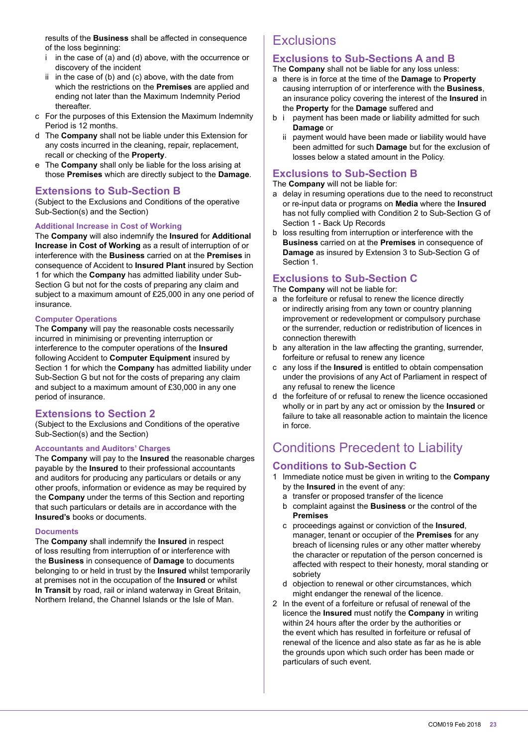results of the **Business** shall be affected in consequence of the loss beginning:

- i in the case of (a) and (d) above, with the occurrence or discovery of the incident
- ii in the case of (b) and (c) above, with the date from which the restrictions on the **Premises** are applied and ending not later than the Maximum Indemnity Period thereafter.
- c For the purposes of this Extension the Maximum Indemnity Period is 12 months.
- d The **Company** shall not be liable under this Extension for any costs incurred in the cleaning, repair, replacement, recall or checking of the **Property**.
- e The **Company** shall only be liable for the loss arising at those **Premises** which are directly subject to the **Damage**.

#### **Extensions to Sub-Section B**

(Subject to the Exclusions and Conditions of the operative Sub-Section(s) and the Section)

#### **Additional Increase in Cost of Working**

The **Company** will also indemnify the **Insured** for **Additional Increase in Cost of Working** as a result of interruption of or interference with the **Business** carried on at the **Premises** in consequence of Accident to **Insured Plant** insured by Section 1 for which the **Company** has admitted liability under Sub-Section G but not for the costs of preparing any claim and subject to a maximum amount of £25,000 in any one period of insurance.

#### **Computer Operations**

The **Company** will pay the reasonable costs necessarily incurred in minimising or preventing interruption or interference to the computer operations of the **Insured** following Accident to **Computer Equipment** insured by Section 1 for which the **Company** has admitted liability under Sub-Section G but not for the costs of preparing any claim and subject to a maximum amount of £30,000 in any one period of insurance.

#### **Extensions to Section 2**

(Subject to the Exclusions and Conditions of the operative Sub-Section(s) and the Section)

#### **Accountants and Auditors' Charges**

The **Company** will pay to the **Insured** the reasonable charges payable by the **Insured** to their professional accountants and auditors for producing any particulars or details or any other proofs, information or evidence as may be required by the **Company** under the terms of this Section and reporting that such particulars or details are in accordance with the **Insured's** books or documents.

#### **Documents**

The **Company** shall indemnify the **Insured** in respect of loss resulting from interruption of or interference with the **Business** in consequence of **Damage** to documents belonging to or held in trust by the **Insured** whilst temporarily at premises not in the occupation of the **Insured** or whilst **In Transit** by road, rail or inland waterway in Great Britain, Northern Ireland, the Channel Islands or the Isle of Man.

# **Exclusions**

#### **Exclusions to Sub-Sections A and B**

The **Company** shall not be liable for any loss unless:

- a there is in force at the time of the **Damage** to **Property** causing interruption of or interference with the **Business**, an insurance policy covering the interest of the **Insured** in the **Property** for the **Damage** suffered and
- b i payment has been made or liability admitted for such **Damage** or
	- ii payment would have been made or liability would have been admitted for such **Damage** but for the exclusion of losses below a stated amount in the Policy.

# **Exclusions to Sub-Section B**

The **Company** will not be liable for:

- a delay in resuming operations due to the need to reconstruct or re-input data or programs on **Media** where the **Insured** has not fully complied with Condition 2 to Sub-Section G of Section 1 - Back Up Records
- b loss resulting from interruption or interference with the **Business** carried on at the **Premises** in consequence of **Damage** as insured by Extension 3 to Sub-Section G of Section 1.

#### **Exclusions to Sub-Section C**

The **Company** will not be liable for:

- a the forfeiture or refusal to renew the licence directly or indirectly arising from any town or country planning improvement or redevelopment or compulsory purchase or the surrender, reduction or redistribution of licences in connection therewith
- b any alteration in the law affecting the granting, surrender, forfeiture or refusal to renew any licence
- c any loss if the **Insured** is entitled to obtain compensation under the provisions of any Act of Parliament in respect of any refusal to renew the licence
- d the forfeiture of or refusal to renew the licence occasioned wholly or in part by any act or omission by the **Insured** or failure to take all reasonable action to maintain the licence in force.

# Conditions Precedent to Liability

#### **Conditions to Sub-Section C**

- 1 Immediate notice must be given in writing to the **Company** by the **Insured** in the event of any:
	- a transfer or proposed transfer of the licence
	- b complaint against the **Business** or the control of the **Premises**
	- c proceedings against or conviction of the **Insured**, manager, tenant or occupier of the **Premises** for any breach of licensing rules or any other matter whereby the character or reputation of the person concerned is affected with respect to their honesty, moral standing or sobriety
	- d objection to renewal or other circumstances, which might endanger the renewal of the licence.
- 2 In the event of a forfeiture or refusal of renewal of the licence the **Insured** must notify the **Company** in writing within 24 hours after the order by the authorities or the event which has resulted in forfeiture or refusal of renewal of the licence and also state as far as he is able the grounds upon which such order has been made or particulars of such event.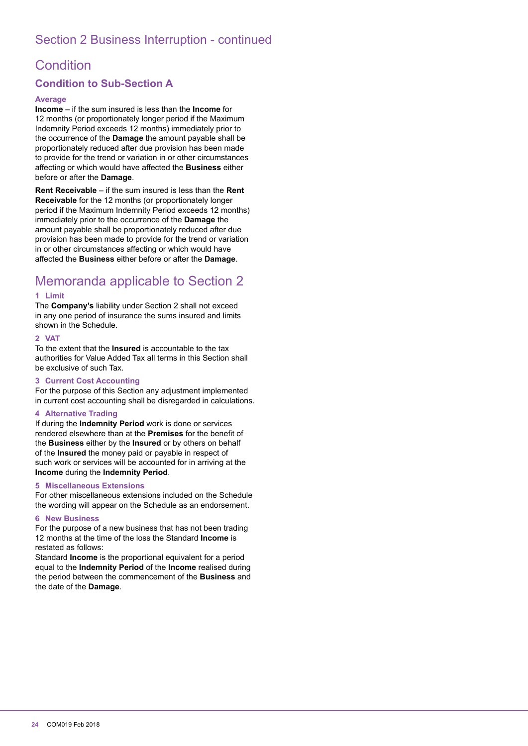# Section 2 Business Interruption - continued

# **Condition**

# **Condition to Sub-Section A**

#### **Average**

**Income** – if the sum insured is less than the **Income** for 12 months (or proportionately longer period if the Maximum Indemnity Period exceeds 12 months) immediately prior to the occurrence of the **Damage** the amount payable shall be proportionately reduced after due provision has been made to provide for the trend or variation in or other circumstances affecting or which would have affected the **Business** either before or after the **Damage**.

**Rent Receivable** – if the sum insured is less than the **Rent Receivable** for the 12 months (or proportionately longer period if the Maximum Indemnity Period exceeds 12 months) immediately prior to the occurrence of the **Damage** the amount payable shall be proportionately reduced after due provision has been made to provide for the trend or variation in or other circumstances affecting or which would have affected the **Business** either before or after the **Damage**.

# Memoranda applicable to Section 2

#### **1 Limit**

The **Company's** liability under Section 2 shall not exceed in any one period of insurance the sums insured and limits shown in the Schedule.

#### **2 VAT**

To the extent that the **Insured** is accountable to the tax authorities for Value Added Tax all terms in this Section shall be exclusive of such Tax.

#### **3 Current Cost Accounting**

For the purpose of this Section any adjustment implemented in current cost accounting shall be disregarded in calculations.

#### **4 Alternative Trading**

If during the **Indemnity Period** work is done or services rendered elsewhere than at the **Premises** for the beneit of the **Business** either by the **Insured** or by others on behalf of the **Insured** the money paid or payable in respect of such work or services will be accounted for in arriving at the **Income** during the **Indemnity Period**.

#### **5 Miscellaneous Extensions**

For other miscellaneous extensions included on the Schedule the wording will appear on the Schedule as an endorsement.

#### **6 New Business**

For the purpose of a new business that has not been trading 12 months at the time of the loss the Standard **Income** is restated as follows:

Standard **Income** is the proportional equivalent for a period equal to the **Indemnity Period** of the **Income** realised during the period between the commencement of the **Business** and the date of the **Damage**.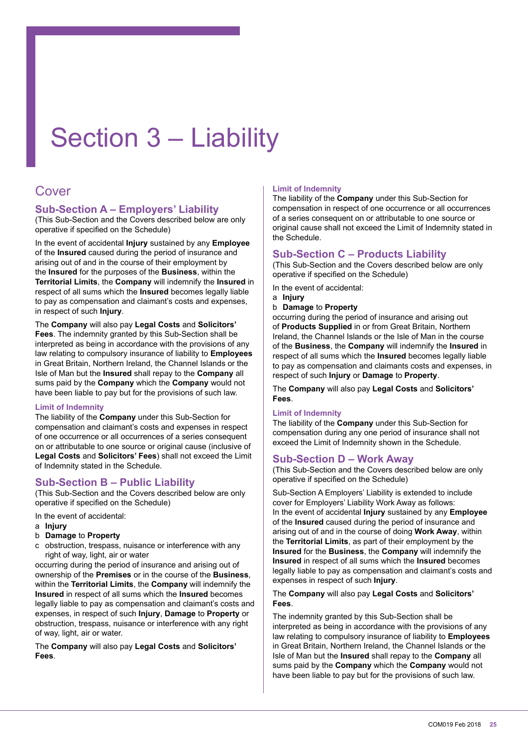# Section 3 – Liability

# Cover

# **Sub-Section A – Employers' Liability**

(This Sub-Section and the Covers described below are only operative if specified on the Schedule)

In the event of accidental **Injury** sustained by any **Employee** of the **Insured** caused during the period of insurance and arising out of and in the course of their employment by the **Insured** for the purposes of the **Business**, within the **Territorial Limits**, the **Company** will indemnify the **Insured** in respect of all sums which the **Insured** becomes legally liable to pay as compensation and claimant's costs and expenses, in respect of such **Injury**.

The **Company** will also pay **Legal Costs** and **Solicitors' Fees**. The indemnity granted by this Sub-Section shall be interpreted as being in accordance with the provisions of any law relating to compulsory insurance of liability to **Employees** in Great Britain, Northern Ireland, the Channel Islands or the Isle of Man but the **Insured** shall repay to the **Company** all sums paid by the **Company** which the **Company** would not have been liable to pay but for the provisions of such law.

#### **Limit of Indemnity**

The liability of the **Company** under this Sub-Section for compensation and claimant's costs and expenses in respect of one occurrence or all occurrences of a series consequent on or attributable to one source or original cause (inclusive of **Legal Costs** and **Solicitors' Fees**) shall not exceed the Limit of Indemnity stated in the Schedule.

#### **Sub-Section B – Public Liability**

(This Sub-Section and the Covers described below are only operative if specified on the Schedule)

In the event of accidental:

- a **Injury**
- b **Damage** to **Property**
- c obstruction, trespass, nuisance or interference with any right of way, light, air or water

occurring during the period of insurance and arising out of ownership of the **Premises** or in the course of the **Business**, within the **Territorial Limits**, the **Company** will indemnify the **Insured** in respect of all sums which the **Insured** becomes legally liable to pay as compensation and claimant's costs and expenses, in respect of such **Injury**, **Damage** to **Property** or obstruction, trespass, nuisance or interference with any right of way, light, air or water.

The **Company** will also pay **Legal Costs** and **Solicitors' Fees**.

#### **Limit of Indemnity**

The liability of the **Company** under this Sub-Section for compensation in respect of one occurrence or all occurrences of a series consequent on or attributable to one source or original cause shall not exceed the Limit of Indemnity stated in the Schedule.

# **Sub-Section C – Products Liability**

(This Sub-Section and the Covers described below are only operative if specified on the Schedule)

In the event of accidental:

- a **Injury**
- b **Damage** to **Property**

occurring during the period of insurance and arising out of **Products Supplied** in or from Great Britain, Northern Ireland, the Channel Islands or the Isle of Man in the course of the **Business**, the **Company** will indemnify the **Insured** in respect of all sums which the **Insured** becomes legally liable to pay as compensation and claimants costs and expenses, in respect of such **Injury** or **Damage** to **Property**.

The **Company** will also pay **Legal Costs** and **Solicitors' Fees**.

#### **Limit of Indemnity**

The liability of the **Company** under this Sub-Section for compensation during any one period of insurance shall not exceed the Limit of Indemnity shown in the Schedule.

# **Sub-Section D – Work Away**

(This Sub-Section and the Covers described below are only operative if specified on the Schedule)

Sub-Section A Employers' Liability is extended to include cover for Employers' Liability Work Away as follows: In the event of accidental **Injury** sustained by any **Employee** of the **Insured** caused during the period of insurance and arising out of and in the course of doing **Work Away**, within the **Territorial Limits**, as part of their employment by the **Insured** for the **Business**, the **Company** will indemnify the **Insured** in respect of all sums which the **Insured** becomes legally liable to pay as compensation and claimant's costs and expenses in respect of such **Injury**.

#### The **Company** will also pay **Legal Costs** and **Solicitors' Fees**.

The indemnity granted by this Sub-Section shall be interpreted as being in accordance with the provisions of any law relating to compulsory insurance of liability to **Employees** in Great Britain, Northern Ireland, the Channel Islands or the Isle of Man but the **Insured** shall repay to the **Company** all sums paid by the **Company** which the **Company** would not have been liable to pay but for the provisions of such law.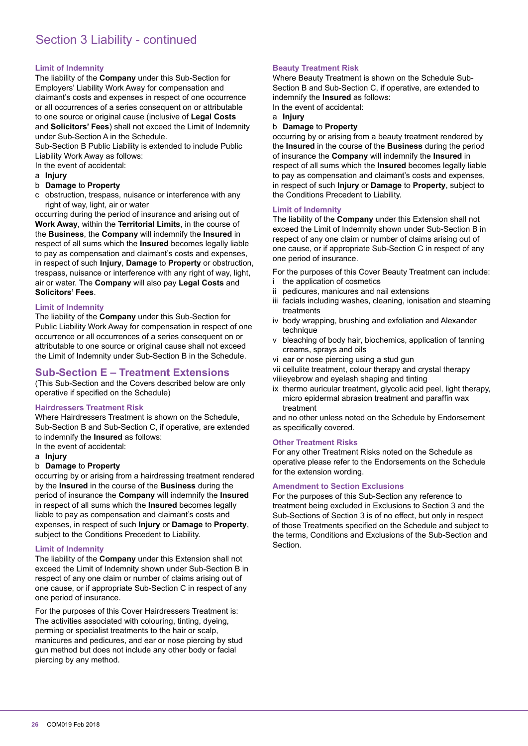# Section 3 Liability - continued

#### **Limit of Indemnity**

The liability of the **Company** under this Sub-Section for Employers' Liability Work Away for compensation and claimant's costs and expenses in respect of one occurrence or all occurrences of a series consequent on or attributable to one source or original cause (inclusive of **Legal Costs** and **Solicitors' Fees**) shall not exceed the Limit of Indemnity under Sub-Section A in the Schedule.

Sub-Section B Public Liability is extended to include Public Liability Work Away as follows:

In the event of accidental:

- a **Injury**
- b **Damage** to **Property**
- c obstruction, trespass, nuisance or interference with any right of way, light, air or water

occurring during the period of insurance and arising out of **Work Away**, within the **Territorial Limits**, in the course of the **Business**, the **Company** will indemnify the **Insured** in respect of all sums which the **Insured** becomes legally liable to pay as compensation and claimant's costs and expenses, in respect of such **Injury**, **Damage** to **Property** or obstruction, trespass, nuisance or interference with any right of way, light, air or water. The **Company** will also pay **Legal Costs** and **Solicitors' Fees**.

#### **Limit of Indemnity**

The liability of the **Company** under this Sub-Section for Public Liability Work Away for compensation in respect of one occurrence or all occurrences of a series consequent on or attributable to one source or original cause shall not exceed the Limit of Indemnity under Sub-Section B in the Schedule.

#### **Sub-Section E – Treatment Extensions**

(This Sub-Section and the Covers described below are only operative if specified on the Schedule)

#### **Hairdressers Treatment Risk**

Where Hairdressers Treatment is shown on the Schedule, Sub-Section B and Sub-Section C, if operative, are extended to indemnify the **Insured** as follows: In the event of accidental:

a **Injury**

#### b **Damage** to **Property**

occurring by or arising from a hairdressing treatment rendered by the **Insured** in the course of the **Business** during the period of insurance the **Company** will indemnify the **Insured** in respect of all sums which the **Insured** becomes legally liable to pay as compensation and claimant's costs and expenses, in respect of such **Injury** or **Damage** to **Property**, subject to the Conditions Precedent to Liability.

#### **Limit of Indemnity**

The liability of the **Company** under this Extension shall not exceed the Limit of Indemnity shown under Sub-Section B in respect of any one claim or number of claims arising out of one cause, or if appropriate Sub-Section C in respect of any one period of insurance.

For the purposes of this Cover Hairdressers Treatment is: The activities associated with colouring, tinting, dyeing, perming or specialist treatments to the hair or scalp, manicures and pedicures, and ear or nose piercing by stud gun method but does not include any other body or facial piercing by any method.

#### **Beauty Treatment Risk**

Where Beauty Treatment is shown on the Schedule Sub-Section B and Sub-Section C, if operative, are extended to indemnify the **Insured** as follows:

In the event of accidental:

- a **Injury**
- b **Damage** to **Property**

occurring by or arising from a beauty treatment rendered by the **Insured** in the course of the **Business** during the period of insurance the **Company** will indemnify the **Insured** in respect of all sums which the **Insured** becomes legally liable to pay as compensation and claimant's costs and expenses, in respect of such **Injury** or **Damage** to **Property**, subject to the Conditions Precedent to Liability.

#### **Limit of Indemnity**

The liability of the **Company** under this Extension shall not exceed the Limit of Indemnity shown under Sub-Section B in respect of any one claim or number of claims arising out of one cause, or if appropriate Sub-Section C in respect of any one period of insurance.

For the purposes of this Cover Beauty Treatment can include: i the application of cosmetics

- ii pedicures, manicures and nail extensions
- iii facials including washes, cleaning, ionisation and steaming treatments
- iv body wrapping, brushing and exfoliation and Alexander technique
- v bleaching of body hair, biochemics, application of tanning creams, sprays and oils
- vi ear or nose piercing using a stud gun
- vii cellulite treatment, colour therapy and crystal therapy

viii eyebrow and eyelash shaping and tinting

ix thermo auricular treatment, glycolic acid peel, light therapy, micro epidermal abrasion treatment and parafin wax treatment

and no other unless noted on the Schedule by Endorsement as specifically covered.

#### **Other Treatment Risks**

For any other Treatment Risks noted on the Schedule as operative please refer to the Endorsements on the Schedule for the extension wording.

#### **Amendment to Section Exclusions**

For the purposes of this Sub-Section any reference to treatment being excluded in Exclusions to Section 3 and the Sub-Sections of Section 3 is of no effect, but only in respect of those Treatments speciied on the Schedule and subject to the terms, Conditions and Exclusions of the Sub-Section and Section.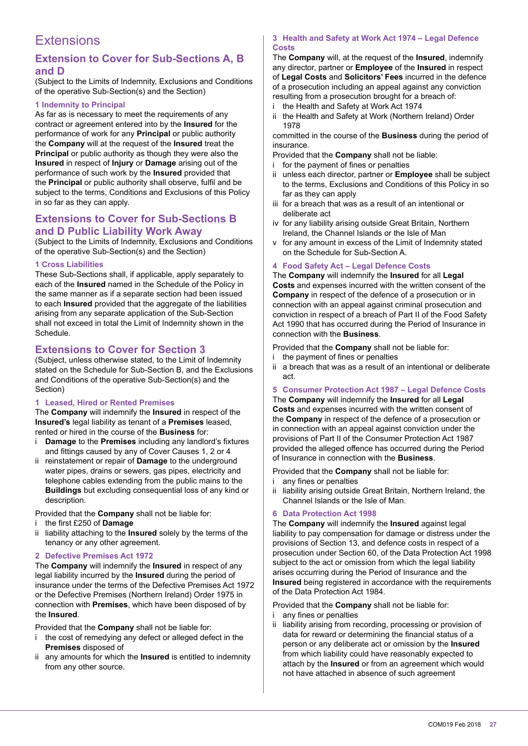# **Extensions**

# **Extension to Cover for Sub-Sections A, B and D**

(Subject to the Limits of Indemnity, Exclusions and Conditions of the operative Sub-Section(s) and the Section)

#### **1 Indemnity to Principal**

As far as is necessary to meet the requirements of any contract or agreement entered into by the **Insured** for the performance of work for any **Principal** or public authority the **Company** will at the request of the **Insured** treat the **Principal** or public authority as though they were also the **Insured** in respect of **Injury** or **Damage** arising out of the performance of such work by the **Insured** provided that the **Principal** or public authority shall observe, fulil and be subject to the terms, Conditions and Exclusions of this Policy in so far as they can apply.

#### **Extensions to Cover for Sub-Sections B and D Public Liability Work Away**

(Subject to the Limits of Indemnity, Exclusions and Conditions of the operative Sub-Section(s) and the Section)

#### **1 Cross Liabilities**

These Sub-Sections shall, if applicable, apply separately to each of the **Insured** named in the Schedule of the Policy in the same manner as if a separate section had been issued to each **Insured** provided that the aggregate of the liabilities arising from any separate application of the Sub-Section shall not exceed in total the Limit of Indemnity shown in the Schedule.

# **Extensions to Cover for Section 3**

(Subject, unless otherwise stated, to the Limit of Indemnity stated on the Schedule for Sub-Section B, and the Exclusions and Conditions of the operative Sub-Section(s) and the Section)

#### **1 Leased, Hired or Rented Premises**

The **Company** will indemnify the **Insured** in respect of the **Insured's** legal liability as tenant of a **Premises** leased, rented or hired in the course of the **Business** for:

- i **Damage** to the **Premises** including any landlord's fixtures and fittings caused by any of Cover Causes 1, 2 or 4
- ii reinstatement or repair of **Damage** to the underground water pipes, drains or sewers, gas pipes, electricity and telephone cables extending from the public mains to the **Buildings** but excluding consequential loss of any kind or description.

Provided that the **Company** shall not be liable for:

#### i the irst £250 of **Damage**

ii liability attaching to the **Insured** solely by the terms of the tenancy or any other agreement.

#### **2 Defective Premises Act 1972**

The **Company** will indemnify the **Insured** in respect of any legal liability incurred by the **Insured** during the period of insurance under the terms of the Defective Premises Act 1972 or the Defective Premises (Northern Ireland) Order 1975 in connection with **Premises**, which have been disposed of by the **Insured**.

Provided that the **Company** shall not be liable for:

- i the cost of remedying any defect or alleged defect in the **Premises** disposed of
- ii any amounts for which the **Insured** is entitled to indemnity from any other source.

#### **3 Health and Safety at Work Act 1974 – Legal Defence Costs**

The **Company** will, at the request of the **Insured**, indemnify any director, partner or **Employee** of the **Insured** in respect of **Legal Costs** and **Solicitors' Fees** incurred in the defence of a prosecution including an appeal against any conviction resulting from a prosecution brought for a breach of:

- i the Health and Safety at Work Act 1974
- ii the Health and Safety at Work (Northern Ireland) Order 1978

committed in the course of the **Business** during the period of insurance.

- Provided that the **Company** shall not be liable:
- for the payment of fines or penalties
- ii unless each director, partner or **Employee** shall be subject to the terms, Exclusions and Conditions of this Policy in so far as they can apply
- iii for a breach that was as a result of an intentional or deliberate act
- iv for any liability arising outside Great Britain, Northern Ireland, the Channel Islands or the Isle of Man
- v for any amount in excess of the Limit of Indemnity stated on the Schedule for Sub-Section A.

#### **4 Food Safety Act – Legal Defence Costs**

The **Company** will indemnify the **Insured** for all **Legal Costs** and expenses incurred with the written consent of the **Company** in respect of the defence of a prosecution or in connection with an appeal against criminal prosecution and conviction in respect of a breach of Part II of the Food Safety Act 1990 that has occurred during the Period of Insurance in connection with the **Business**.

Provided that the **Company** shall not be liable for:

- i the payment of fines or penalties
- ii a breach that was as a result of an intentional or deliberate act.

#### **5 Consumer Protection Act 1987 – Legal Defence Costs**

The **Company** will indemnify the **Insured** for all **Legal Costs** and expenses incurred with the written consent of the **Company** in respect of the defence of a prosecution or in connection with an appeal against conviction under the provisions of Part II of the Consumer Protection Act 1987 provided the alleged offence has occurred during the Period of Insurance in connection with the **Business**.

Provided that the **Company** shall not be liable for: i any fines or penalties

ii liability arising outside Great Britain, Northern Ireland, the Channel Islands or the Isle of Man.

#### **6 Data Protection Act 1998**

The **Company** will indemnify the **Insured** against legal liability to pay compensation for damage or distress under the provisions of Section 13, and defence costs in respect of a prosecution under Section 60, of the Data Protection Act 1998 subject to the act or omission from which the legal liability arises occurring during the Period of Insurance and the **Insured** being registered in accordance with the requirements of the Data Protection Act 1984.

Provided that the **Company** shall not be liable for:

- i any fines or penalties
- ii liability arising from recording, processing or provision of data for reward or determining the financial status of a person or any deliberate act or omission by the **Insured** from which liability could have reasonably expected to attach by the **Insured** or from an agreement which would not have attached in absence of such agreement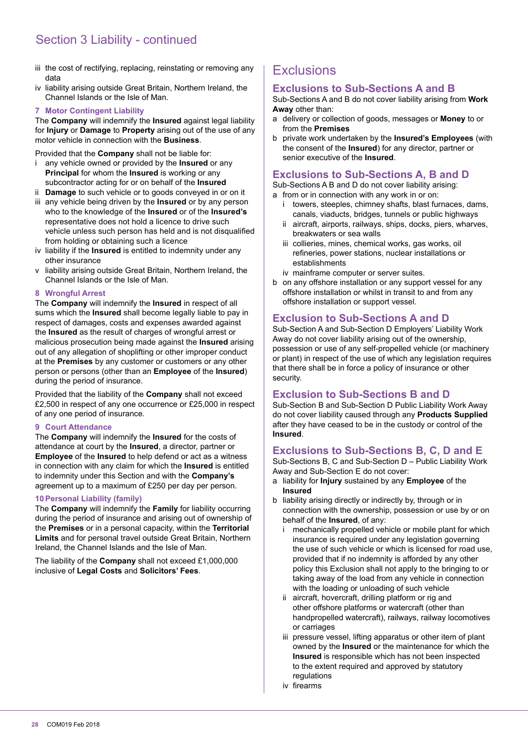# Section 3 Liability - continued

- iii the cost of rectifying, replacing, reinstating or removing any data
- iv liability arising outside Great Britain, Northern Ireland, the Channel Islands or the Isle of Man.

#### **7 Motor Contingent Liability**

The **Company** will indemnify the **Insured** against legal liability for **Injury** or **Damage** to **Property** arising out of the use of any motor vehicle in connection with the **Business**.

Provided that the **Company** shall not be liable for:

- i any vehicle owned or provided by the **Insured** or any **Principal** for whom the **Insured** is working or any subcontractor acting for or on behalf of the **Insured**
- ii **Damage** to such vehicle or to goods conveyed in or on it
- iii any vehicle being driven by the **Insured** or by any person who to the knowledge of the **Insured** or of the **Insured's** representative does not hold a licence to drive such vehicle unless such person has held and is not disqualified from holding or obtaining such a licence
- iv liability if the **Insured** is entitled to indemnity under any other insurance
- v liability arising outside Great Britain, Northern Ireland, the Channel Islands or the Isle of Man.

#### **8 Wrongful Arrest**

The **Company** will indemnify the **Insured** in respect of all sums which the **Insured** shall become legally liable to pay in respect of damages, costs and expenses awarded against the **Insured** as the result of charges of wrongful arrest or malicious prosecution being made against the **Insured** arising out of any allegation of shoplifting or other improper conduct at the **Premises** by any customer or customers or any other person or persons (other than an **Employee** of the **Insured**) during the period of insurance.

Provided that the liability of the **Company** shall not exceed £2,500 in respect of any one occurrence or £25,000 in respect of any one period of insurance.

#### **9 Court Attendance**

The **Company** will indemnify the **Insured** for the costs of attendance at court by the **Insured**, a director, partner or **Employee** of the **Insured** to help defend or act as a witness in connection with any claim for which the **Insured** is entitled to indemnity under this Section and with the **Company's** agreement up to a maximum of £250 per day per person.

#### **10 Personal Liability (family)**

The **Company** will indemnify the **Family** for liability occurring during the period of insurance and arising out of ownership of the **Premises** or in a personal capacity, within the **Territorial Limits** and for personal travel outside Great Britain, Northern Ireland, the Channel Islands and the Isle of Man.

The liability of the **Company** shall not exceed £1,000,000 inclusive of **Legal Costs** and **Solicitors' Fees**.

# **Exclusions**

# **Exclusions to Sub-Sections A and B**

Sub-Sections A and B do not cover liability arising from **Work Away** other than:

- a delivery or collection of goods, messages or **Money** to or from the **Premises**
- b private work undertaken by the **Insured's Employees** (with the consent of the **Insured**) for any director, partner or senior executive of the **Insured**.

#### **Exclusions to Sub-Sections A, B and D**

Sub-Sections A B and D do not cover liability arising:

a from or in connection with any work in or on:

- i towers, steeples, chimney shafts, blast furnaces, dams, canals, viaducts, bridges, tunnels or public highways
- ii aircraft, airports, railways, ships, docks, piers, wharves, breakwaters or sea walls
- iii collieries, mines, chemical works, gas works, oil refineries, power stations, nuclear installations or establishments
- iv mainframe computer or server suites.
- b on any offshore installation or any support vessel for any offshore installation or whilst in transit to and from any offshore installation or support vessel.

# **Exclusion to Sub-Sections A and D**

Sub-Section A and Sub-Section D Employers' Liability Work Away do not cover liability arising out of the ownership, possession or use of any self-propelled vehicle (or machinery or plant) in respect of the use of which any legislation requires that there shall be in force a policy of insurance or other security.

# **Exclusion to Sub-Sections B and D**

Sub-Section B and Sub-Section D Public Liability Work Away do not cover liability caused through any **Products Supplied** after they have ceased to be in the custody or control of the **Insured**.

# **Exclusions to Sub-Sections B, C, D and E**

Sub-Sections B, C and Sub-Section D – Public Liability Work Away and Sub-Section E do not cover:

- a liability for **Injury** sustained by any **Employee** of the **Insured**
- b liability arising directly or indirectly by, through or in connection with the ownership, possession or use by or on behalf of the **Insured**, of any:
	- mechanically propelled vehicle or mobile plant for which insurance is required under any legislation governing the use of such vehicle or which is licensed for road use, provided that if no indemnity is afforded by any other policy this Exclusion shall not apply to the bringing to or taking away of the load from any vehicle in connection with the loading or unloading of such vehicle
	- ii aircraft, hovercraft, drilling platform or rig and other offshore platforms or watercraft (other than handpropelled watercraft), railways, railway locomotives or carriages
	- iii pressure vessel, lifting apparatus or other item of plant owned by the **Insured** or the maintenance for which the **Insured** is responsible which has not been inspected to the extent required and approved by statutory regulations
	- iv firearms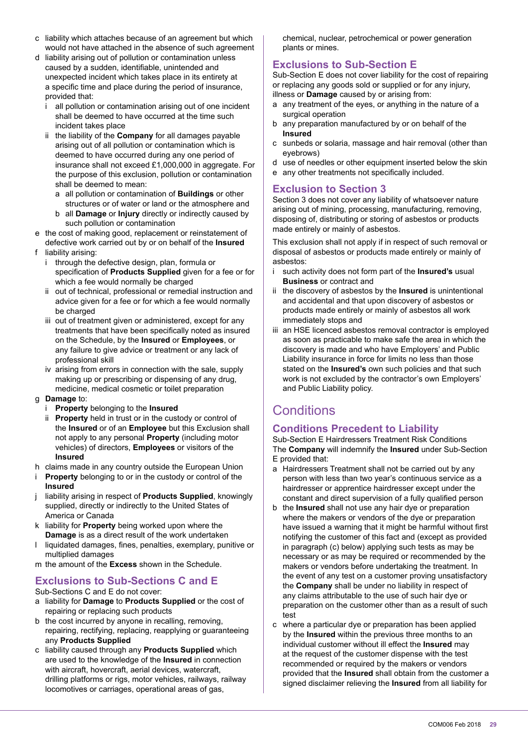- c liability which attaches because of an agreement but which would not have attached in the absence of such agreement
- d liability arising out of pollution or contamination unless caused by a sudden, identifiable, unintended and unexpected incident which takes place in its entirety at a specific time and place during the period of insurance, provided that:
	- all pollution or contamination arising out of one incident shall be deemed to have occurred at the time such incident takes place
	- ii the liability of the **Company** for all damages payable arising out of all pollution or contamination which is deemed to have occurred during any one period of insurance shall not exceed £1,000,000 in aggregate. For the purpose of this exclusion, pollution or contamination shall be deemed to mean:
		- a all pollution or contamination of **Buildings** or other structures or of water or land or the atmosphere and
		- b all **Damage** or **Injury** directly or indirectly caused by such pollution or contamination
- e the cost of making good, replacement or reinstatement of defective work carried out by or on behalf of the **Insured**
- f liability arising:
	- i through the defective design, plan, formula or specification of **Products Supplied** given for a fee or for which a fee would normally be charged
	- ii out of technical, professional or remedial instruction and advice given for a fee or for which a fee would normally be charged
	- iii out of treatment given or administered, except for any treatments that have been specifically noted as insured on the Schedule, by the **Insured** or **Employees**, or any failure to give advice or treatment or any lack of professional skill
	- iv arising from errors in connection with the sale, supply making up or prescribing or dispensing of any drug, medicine, medical cosmetic or toilet preparation
- g **Damage** to:
	- i **Property** belonging to the **Insured**
	- ii **Property** held in trust or in the custody or control of the **Insured** or of an **Employee** but this Exclusion shall not apply to any personal **Property** (including motor vehicles) of directors, **Employees** or visitors of the **Insured**
- h claims made in any country outside the European Union
- i **Property** belonging to or in the custody or control of the **Insured**
- j liability arising in respect of **Products Supplied**, knowingly supplied, directly or indirectly to the United States of America or Canada
- k liability for **Property** being worked upon where the **Damage** is as a direct result of the work undertaken
- l liquidated damages, ines, penalties, exemplary, punitive or multiplied damages
- m the amount of the **Excess** shown in the Schedule.

# **Exclusions to Sub-Sections C and E**

Sub-Sections C and E do not cover:

- a liability for **Damage** to **Products Supplied** or the cost of repairing or replacing such products
- b the cost incurred by anyone in recalling, removing, repairing, rectifying, replacing, reapplying or guaranteeing any **Products Supplied**
- c liability caused through any **Products Supplied** which are used to the knowledge of the **Insured** in connection with aircraft, hovercraft, aerial devices, watercraft, drilling platforms or rigs, motor vehicles, railways, railway locomotives or carriages, operational areas of gas,

chemical, nuclear, petrochemical or power generation plants or mines.

# **Exclusions to Sub-Section E**

Sub-Section E does not cover liability for the cost of repairing or replacing any goods sold or supplied or for any injury, illness or **Damage** caused by or arising from:

- a any treatment of the eyes, or anything in the nature of a surgical operation
- b any preparation manufactured by or on behalf of the **Insured**
- c sunbeds or solaria, massage and hair removal (other than eyebrows)
- d use of needles or other equipment inserted below the skin
- e any other treatments not specifically included.

# **Exclusion to Section 3**

Section 3 does not cover any liability of whatsoever nature arising out of mining, processing, manufacturing, removing, disposing of, distributing or storing of asbestos or products made entirely or mainly of asbestos.

This exclusion shall not apply if in respect of such removal or disposal of asbestos or products made entirely or mainly of asbestos:

- i such activity does not form part of the **Insured's** usual **Business** or contract and
- ii the discovery of asbestos by the **Insured** is unintentional and accidental and that upon discovery of asbestos or products made entirely or mainly of asbestos all work immediately stops and
- iii an HSE licenced asbestos removal contractor is employed as soon as practicable to make safe the area in which the discovery is made and who have Employers' and Public Liability insurance in force for limits no less than those stated on the **Insured's** own such policies and that such work is not excluded by the contractor's own Employers' and Public Liability policy.

# **Conditions**

# **Conditions Precedent to Liability**

Sub-Section E Hairdressers Treatment Risk Conditions The **Company** will indemnify the **Insured** under Sub-Section E provided that:

- a Hairdressers Treatment shall not be carried out by any person with less than two year's continuous service as a hairdresser or apprentice hairdresser except under the constant and direct supervision of a fully qualified person
- b the **Insured** shall not use any hair dye or preparation where the makers or vendors of the dye or preparation have issued a warning that it might be harmful without first notifying the customer of this fact and (except as provided in paragraph (c) below) applying such tests as may be necessary or as may be required or recommended by the makers or vendors before undertaking the treatment. In the event of any test on a customer proving unsatisfactory the **Company** shall be under no liability in respect of any claims attributable to the use of such hair dye or preparation on the customer other than as a result of such test
- c where a particular dye or preparation has been applied by the **Insured** within the previous three months to an individual customer without ill effect the **Insured** may at the request of the customer dispense with the test recommended or required by the makers or vendors provided that the **Insured** shall obtain from the customer a signed disclaimer relieving the **Insured** from all liability for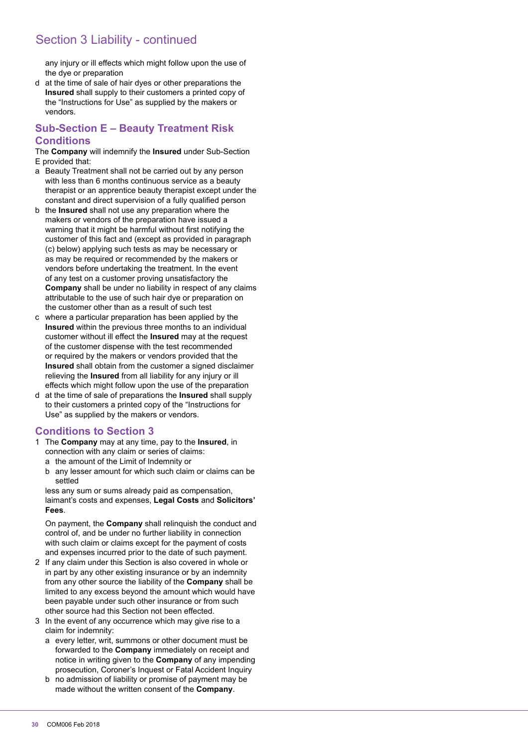# Section 3 Liability - continued

any injury or ill effects which might follow upon the use of the dye or preparation

d at the time of sale of hair dyes or other preparations the **Insured** shall supply to their customers a printed copy of the "Instructions for Use" as supplied by the makers or vendors.

# **Sub-Section E – Beauty Treatment Risk Conditions**

The **Company** will indemnify the **Insured** under Sub-Section E provided that:

- a Beauty Treatment shall not be carried out by any person with less than 6 months continuous service as a beauty therapist or an apprentice beauty therapist except under the constant and direct supervision of a fully qualified person
- b the **Insured** shall not use any preparation where the makers or vendors of the preparation have issued a warning that it might be harmful without first notifying the customer of this fact and (except as provided in paragraph (c) below) applying such tests as may be necessary or as may be required or recommended by the makers or vendors before undertaking the treatment. In the event of any test on a customer proving unsatisfactory the **Company** shall be under no liability in respect of any claims attributable to the use of such hair dye or preparation on the customer other than as a result of such test
- c where a particular preparation has been applied by the **Insured** within the previous three months to an individual customer without ill effect the **Insured** may at the request of the customer dispense with the test recommended or required by the makers or vendors provided that the **Insured** shall obtain from the customer a signed disclaimer relieving the **Insured** from all liability for any injury or ill effects which might follow upon the use of the preparation
- d at the time of sale of preparations the **Insured** shall supply to their customers a printed copy of the "Instructions for Use" as supplied by the makers or vendors.

# **Conditions to Section 3**

- 1 The **Company** may at any time, pay to the **Insured**, in connection with any claim or series of claims: a the amount of the Limit of Indemnity or
	- b any lesser amount for which such claim or claims can be settled

 less any sum or sums already paid as compensation, laimant's costs and expenses, **Legal Costs** and **Solicitors' Fees**.

 On payment, the **Company** shall relinquish the conduct and control of, and be under no further liability in connection with such claim or claims except for the payment of costs and expenses incurred prior to the date of such payment.

- 2 If any claim under this Section is also covered in whole or in part by any other existing insurance or by an indemnity from any other source the liability of the **Company** shall be limited to any excess beyond the amount which would have been payable under such other insurance or from such other source had this Section not been effected.
- 3 In the event of any occurrence which may give rise to a claim for indemnity:
	- a every letter, writ, summons or other document must be forwarded to the **Company** immediately on receipt and notice in writing given to the **Company** of any impending prosecution, Coroner's Inquest or Fatal Accident Inquiry
	- b no admission of liability or promise of payment may be made without the written consent of the **Company**.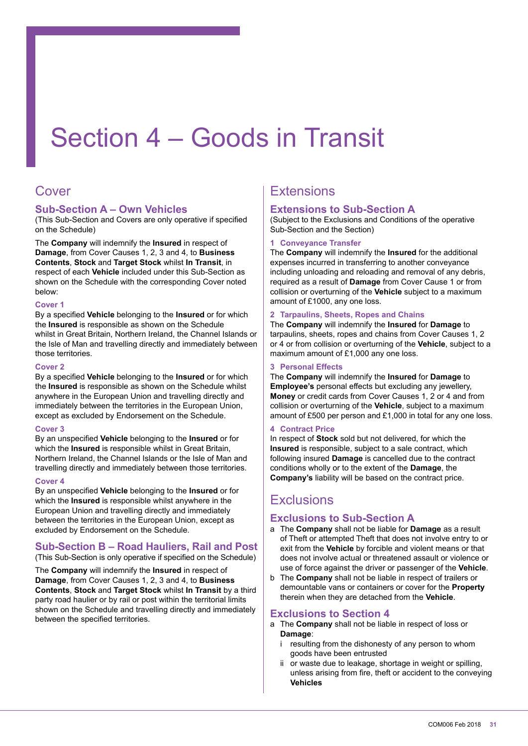# Section 4 – Goods in Transit

# Cover

# **Sub-Section A – Own Vehicles**

(This Sub-Section and Covers are only operative if specified on the Schedule)

The **Company** will indemnify the **Insured** in respect of **Damage**, from Cover Causes 1, 2, 3 and 4, to **Business Contents**, **Stock** and **Target Stock** whilst **In Transit**, in respect of each **Vehicle** included under this Sub-Section as shown on the Schedule with the corresponding Cover noted below:

#### **Cover 1**

By a speciied **Vehicle** belonging to the **Insured** or for which the **Insured** is responsible as shown on the Schedule whilst in Great Britain, Northern Ireland, the Channel Islands or the Isle of Man and travelling directly and immediately between those territories.

#### Cover<sub>2</sub>

By a speciied **Vehicle** belonging to the **Insured** or for which the **Insured** is responsible as shown on the Schedule whilst anywhere in the European Union and travelling directly and immediately between the territories in the European Union, except as excluded by Endorsement on the Schedule.

#### **Cover 3**

By an unspeciied **Vehicle** belonging to the **Insured** or for which the **Insured** is responsible whilst in Great Britain, Northern Ireland, the Channel Islands or the Isle of Man and travelling directly and immediately between those territories.

#### **Cover 4**

By an unspeciied **Vehicle** belonging to the **Insured** or for which the **Insured** is responsible whilst anywhere in the European Union and travelling directly and immediately between the territories in the European Union, except as excluded by Endorsement on the Schedule.

#### **Sub-Section B – Road Hauliers, Rail and Post** (This Sub-Section is only operative if specified on the Schedule)

The **Company** will indemnify the **Insured** in respect of **Damage**, from Cover Causes 1, 2, 3 and 4, to **Business Contents**, **Stock** and **Target Stock** whilst **In Transit** by a third party road haulier or by rail or post within the territorial limits shown on the Schedule and travelling directly and immediately between the specified territories.

# Extensions

# **Extensions to Sub-Section A**

(Subject to the Exclusions and Conditions of the operative Sub-Section and the Section)

#### **1 Conveyance Transfer**

The **Company** will indemnify the **Insured** for the additional expenses incurred in transferring to another conveyance including unloading and reloading and removal of any debris, required as a result of **Damage** from Cover Cause 1 or from collision or overturning of the **Vehicle** subject to a maximum amount of £1000, any one loss.

#### **2 Tarpaulins, Sheets, Ropes and Chains**

The **Company** will indemnify the **Insured** for **Damage** to tarpaulins, sheets, ropes and chains from Cover Causes 1, 2 or 4 or from collision or overturning of the **Vehicle**, subject to a maximum amount of £1,000 any one loss.

#### **3 Personal Effects**

The **Company** will indemnify the **Insured** for **Damage** to **Employee's** personal effects but excluding any jewellery, **Money** or credit cards from Cover Causes 1, 2 or 4 and from collision or overturning of the **Vehicle**, subject to a maximum amount of £500 per person and £1,000 in total for any one loss.

#### **4 Contract Price**

In respect of **Stock** sold but not delivered, for which the **Insured** is responsible, subject to a sale contract, which following insured **Damage** is cancelled due to the contract conditions wholly or to the extent of the **Damage**, the **Company's** liability will be based on the contract price.

# **Exclusions**

# **Exclusions to Sub-Section A**

- a The **Company** shall not be liable for **Damage** as a result of Theft or attempted Theft that does not involve entry to or exit from the **Vehicle** by forcible and violent means or that does not involve actual or threatened assault or violence or use of force against the driver or passenger of the **Vehicle**.
- b The **Company** shall not be liable in respect of trailers or demountable vans or containers or cover for the **Property** therein when they are detached from the **Vehicle**.

# **Exclusions to Section 4**

- a The **Company** shall not be liable in respect of loss or **Damage**:
	- i resulting from the dishonesty of any person to whom goods have been entrusted
	- ii or waste due to leakage, shortage in weight or spilling, unless arising from ire, theft or accident to the conveying **Vehicles**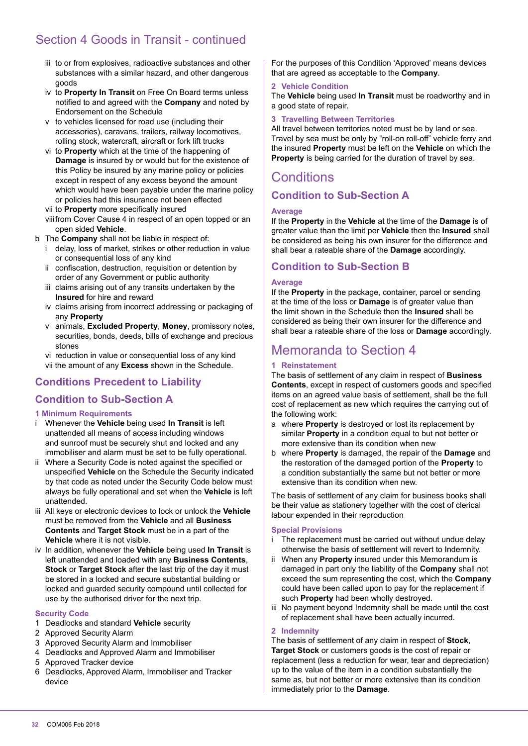# Section 4 Goods in Transit - continued

- iii to or from explosives, radioactive substances and other substances with a similar hazard, and other dangerous goods
- iv to **Property In Transit** on Free On Board terms unless notiied to and agreed with the **Company** and noted by Endorsement on the Schedule
- v to vehicles licensed for road use (including their accessories), caravans, trailers, railway locomotives, rolling stock, watercraft, aircraft or fork lift trucks
- vi to **Property** which at the time of the happening of **Damage** is insured by or would but for the existence of this Policy be insured by any marine policy or policies except in respect of any excess beyond the amount which would have been payable under the marine policy or policies had this insurance not been effected
- vii to **Property** more specifically insured
- viii from Cover Cause 4 in respect of an open topped or an open sided **Vehicle**.
- b The **Company** shall not be liable in respect of:
	- i delay, loss of market, strikes or other reduction in value or consequential loss of any kind
	- ii confiscation, destruction, requisition or detention by order of any Government or public authority
	- iii claims arising out of any transits undertaken by the **Insured** for hire and reward
	- iv claims arising from incorrect addressing or packaging of any **Property**
	- v animals, **Excluded Property**, **Money**, promissory notes, securities, bonds, deeds, bills of exchange and precious stones
	- vi reduction in value or consequential loss of any kind vii the amount of any **Excess** shown in the Schedule.

# **Conditions Precedent to Liability**

# **Condition to Sub-Section A**

#### **1 Minimum Requirements**

- i Whenever the **Vehicle** being used **In Transit** is left unattended all means of access including windows and sunroof must be securely shut and locked and any immobiliser and alarm must be set to be fully operational.
- ii Where a Security Code is noted against the specified or unspecified **Vehicle** on the Schedule the Security indicated by that code as noted under the Security Code below must always be fully operational and set when the **Vehicle** is left unattended.
- iii All keys or electronic devices to lock or unlock the **Vehicle** must be removed from the **Vehicle** and all **Business Contents** and **Target Stock** must be in a part of the **Vehicle** where it is not visible.
- iv In addition, whenever the **Vehicle** being used **In Transit** is left unattended and loaded with any **Business Contents**, **Stock** or **Target Stock** after the last trip of the day it must be stored in a locked and secure substantial building or locked and guarded security compound until collected for use by the authorised driver for the next trip.

#### **Security Code**

- 1 Deadlocks and standard **Vehicle** security
- 2 Approved Security Alarm
- 3 Approved Security Alarm and Immobiliser
- 4 Deadlocks and Approved Alarm and Immobiliser
- 5 Approved Tracker device
- 6 Deadlocks, Approved Alarm, Immobiliser and Tracker device

For the purposes of this Condition 'Approved' means devices that are agreed as acceptable to the **Company**.

#### **2 Vehicle Condition**

The **Vehicle** being used **In Transit** must be roadworthy and in a good state of repair.

**3 Travelling Between Territories**

All travel between territories noted must be by land or sea. Travel by sea must be only by "roll-on roll-off" vehicle ferry and the insured **Property** must be left on the **Vehicle** on which the **Property** is being carried for the duration of travel by sea.

# **Conditions**

# **Condition to Sub-Section A**

#### **Average**

If the **Property** in the **Vehicle** at the time of the **Damage** is of greater value than the limit per **Vehicle** then the **Insured** shall be considered as being his own insurer for the difference and shall bear a rateable share of the **Damage** accordingly.

# **Condition to Sub-Section B**

#### **Average**

If the **Property** in the package, container, parcel or sending at the time of the loss or **Damage** is of greater value than the limit shown in the Schedule then the **Insured** shall be considered as being their own insurer for the difference and shall bear a rateable share of the loss or **Damage** accordingly.

# Memoranda to Section 4

#### **1 Reinstatement**

The basis of settlement of any claim in respect of **Business Contents**, except in respect of customers goods and specified items on an agreed value basis of settlement, shall be the full cost of replacement as new which requires the carrying out of the following work:

- a where **Property** is destroyed or lost its replacement by similar **Property** in a condition equal to but not better or more extensive than its condition when new
- b where **Property** is damaged, the repair of the **Damage** and the restoration of the damaged portion of the **Property** to a condition substantially the same but not better or more extensive than its condition when new.

The basis of settlement of any claim for business books shall be their value as stationery together with the cost of clerical labour expended in their reproduction

#### **Special Provisions**

- The replacement must be carried out without undue delay otherwise the basis of settlement will revert to Indemnity.
- ii When any **Property** insured under this Memorandum is damaged in part only the liability of the **Company** shall not exceed the sum representing the cost, which the **Company** could have been called upon to pay for the replacement if such **Property** had been wholly destroyed.
- iii No payment beyond Indemnity shall be made until the cost of replacement shall have been actually incurred.

#### **2 Indemnity**

The basis of settlement of any claim in respect of **Stock**, **Target Stock** or customers goods is the cost of repair or replacement (less a reduction for wear, tear and depreciation) up to the value of the item in a condition substantially the same as, but not better or more extensive than its condition immediately prior to the **Damage**.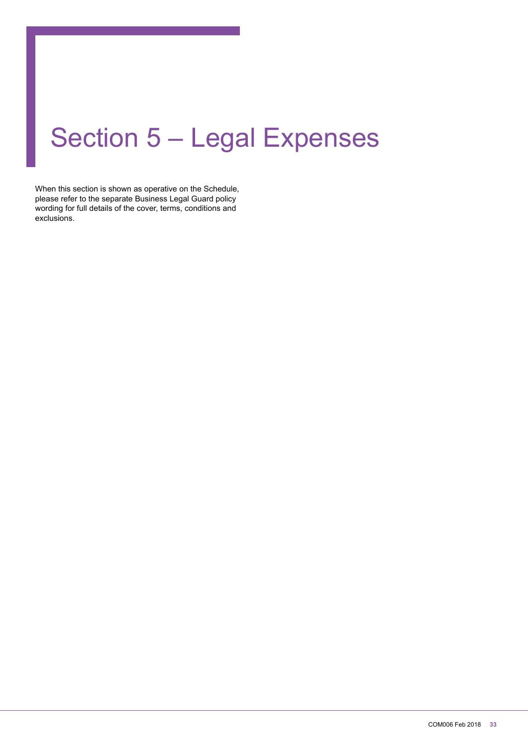# Section 5 – Legal Expenses

When this section is shown as operative on the Schedule, please refer to the separate Business Legal Guard policy wording for full details of the cover, terms, conditions and exclusions.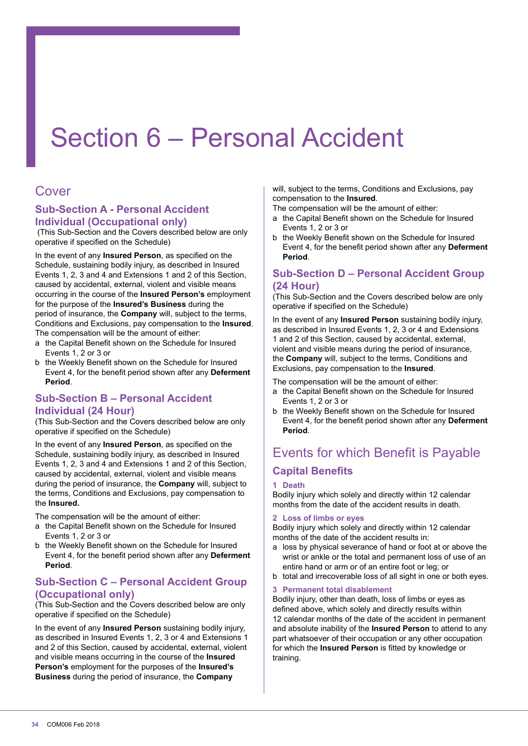# Section 6 – Personal Accident

# Cover

# **Sub-Section A - Personal Accident Individual (Occupational only)**

 (This Sub-Section and the Covers described below are only operative if specified on the Schedule)

In the event of any **Insured Person**, as speciied on the Schedule, sustaining bodily injury, as described in Insured Events 1, 2, 3 and 4 and Extensions 1 and 2 of this Section, caused by accidental, external, violent and visible means occurring in the course of the **Insured Person's** employment for the purpose of the **Insured's Business** during the period of insurance, the **Company** will, subject to the terms, Conditions and Exclusions, pay compensation to the **Insured**. The compensation will be the amount of either:

- a the Capital Benefit shown on the Schedule for Insured Events 1, 2 or 3 or
- b the Weekly Benefit shown on the Schedule for Insured Event 4, for the beneit period shown after any **Deferment Period**.

# **Sub-Section B – Personal Accident Individual (24 Hour)**

(This Sub-Section and the Covers described below are only operative if specified on the Schedule)

In the event of any **Insured Person**, as specified on the Schedule, sustaining bodily injury, as described in Insured Events 1, 2, 3 and 4 and Extensions 1 and 2 of this Section, caused by accidental, external, violent and visible means during the period of insurance, the **Company** will, subject to the terms, Conditions and Exclusions, pay compensation to the **Insured.**

The compensation will be the amount of either:

- a the Capital Benefit shown on the Schedule for Insured Events 1, 2 or 3 or
- b the Weekly Benefit shown on the Schedule for Insured Event 4, for the beneit period shown after any **Deferment Period**.

# **Sub-Section C – Personal Accident Group (Occupational only)**

(This Sub-Section and the Covers described below are only operative if specified on the Schedule)

In the event of any **Insured Person** sustaining bodily injury, as described in Insured Events 1, 2, 3 or 4 and Extensions 1 and 2 of this Section, caused by accidental, external, violent and visible means occurring in the course of the **Insured Person's** employment for the purposes of the **Insured's Business** during the period of insurance, the **Company**

will, subject to the terms, Conditions and Exclusions, pay compensation to the **Insured**.

The compensation will be the amount of either:

- a the Capital Benefit shown on the Schedule for Insured Events 1, 2 or 3 or
- b the Weekly Benefit shown on the Schedule for Insured Event 4, for the beneit period shown after any **Deferment Period**.

# **Sub-Section D – Personal Accident Group (24 Hour)**

(This Sub-Section and the Covers described below are only operative if specified on the Schedule)

In the event of any **Insured Person** sustaining bodily injury, as described in Insured Events 1, 2, 3 or 4 and Extensions 1 and 2 of this Section, caused by accidental, external, violent and visible means during the period of insurance, the **Company** will, subject to the terms, Conditions and Exclusions, pay compensation to the **Insured**.

The compensation will be the amount of either:

- a the Capital Benefit shown on the Schedule for Insured Events 1, 2 or 3 or
- b the Weekly Benefit shown on the Schedule for Insured Event 4, for the beneit period shown after any **Deferment Period**.

# Events for which Benefit is Payable **Capital Benefits**

#### **1 Death**

Bodily injury which solely and directly within 12 calendar months from the date of the accident results in death.

#### **2 Loss of limbs or eyes**

Bodily injury which solely and directly within 12 calendar months of the date of the accident results in:

- a loss by physical severance of hand or foot at or above the wrist or ankle or the total and permanent loss of use of an entire hand or arm or of an entire foot or leg; or
- b total and irrecoverable loss of all sight in one or both eyes.

#### **3 Permanent total disablement**

Bodily injury, other than death, loss of limbs or eyes as defined above, which solely and directly results within 12 calendar months of the date of the accident in permanent and absolute inability of the **Insured Person** to attend to any part whatsoever of their occupation or any other occupation for which the **Insured Person** is itted by knowledge or training.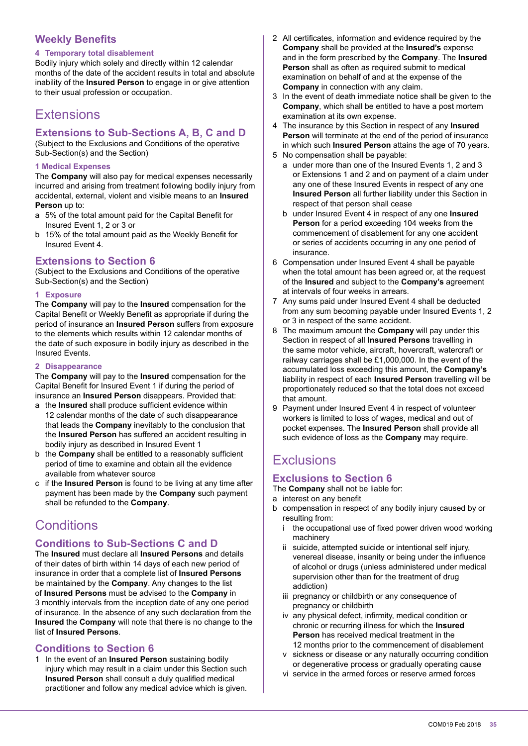# **Weekly Benefits**

#### **4 Temporary total disablement**

Bodily injury which solely and directly within 12 calendar months of the date of the accident results in total and absolute inability of the **Insured Person** to engage in or give attention to their usual profession or occupation.

# **Extensions**

# **Extensions to Sub-Sections A, B, C and D**

(Subject to the Exclusions and Conditions of the operative Sub-Section(s) and the Section)

#### **1 Medical Expenses**

The **Company** will also pay for medical expenses necessarily incurred and arising from treatment following bodily injury from accidental, external, violent and visible means to an **Insured Person** up to:

- a 5% of the total amount paid for the Capital Beneit for Insured Event 1, 2 or 3 or
- b 15% of the total amount paid as the Weekly Benefit for Insured Event 4.

#### **Extensions to Section 6**

(Subject to the Exclusions and Conditions of the operative Sub-Section(s) and the Section)

#### **1 Exposure**

The **Company** will pay to the **Insured** compensation for the Capital Benefit or Weekly Benefit as appropriate if during the period of insurance an **Insured Person** suffers from exposure to the elements which results within 12 calendar months of the date of such exposure in bodily injury as described in the Insured Events.

#### **2 Disappearance**

The **Company** will pay to the **Insured** compensation for the Capital Benefit for Insured Event 1 if during the period of insurance an **Insured Person** disappears. Provided that:

- a the **Insured** shall produce suficient evidence within 12 calendar months of the date of such disappearance that leads the **Company** inevitably to the conclusion that the **Insured Person** has suffered an accident resulting in bodily injury as described in Insured Event 1
- b the **Company** shall be entitled to a reasonably suficient period of time to examine and obtain all the evidence available from whatever source
- c if the **Insured Person** is found to be living at any time after payment has been made by the **Company** such payment shall be refunded to the **Company**.

# **Conditions**

# **Conditions to Sub-Sections C and D**

The **Insured** must declare all **Insured Persons** and details of their dates of birth within 14 days of each new period of insurance in order that a complete list of **Insured Persons** be maintained by the **Company**. Any changes to the list of **Insured Persons** must be advised to the **Company** in 3 monthly intervals from the inception date of any one period of insurance. In the absence of any such declaration from the **Insured** the **Company** will note that there is no change to the list of **Insured Persons**.

# **Conditions to Section 6**

1 In the event of an **Insured Person** sustaining bodily injury which may result in a claim under this Section such **Insured Person** shall consult a duly qualified medical practitioner and follow any medical advice which is given.

- 2 All certificates, information and evidence required by the **Company** shall be provided at the **Insured's** expense and in the form prescribed by the **Company**. The **Insured Person** shall as often as required submit to medical examination on behalf of and at the expense of the **Company** in connection with any claim.
- 3 In the event of death immediate notice shall be given to the **Company**, which shall be entitled to have a post mortem examination at its own expense.
- 4 The insurance by this Section in respect of any **Insured Person** will terminate at the end of the period of insurance in which such **Insured Person** attains the age of 70 years.
- 5 No compensation shall be payable:
	- a under more than one of the Insured Events 1, 2 and 3 or Extensions 1 and 2 and on payment of a claim under any one of these Insured Events in respect of any one **Insured Person** all further liability under this Section in respect of that person shall cease
	- b under Insured Event 4 in respect of any one **Insured Person** for a period exceeding 104 weeks from the commencement of disablement for any one accident or series of accidents occurring in any one period of insurance.
- 6 Compensation under Insured Event 4 shall be payable when the total amount has been agreed or, at the request of the **Insured** and subject to the **Company's** agreement at intervals of four weeks in arrears.
- 7 Any sums paid under Insured Event 4 shall be deducted from any sum becoming payable under Insured Events 1, 2 or 3 in respect of the same accident.
- 8 The maximum amount the **Company** will pay under this Section in respect of all **Insured Persons** travelling in the same motor vehicle, aircraft, hovercraft, watercraft or railway carriages shall be £1,000,000. In the event of the accumulated loss exceeding this amount, the **Company's** liability in respect of each **Insured Person** travelling will be proportionately reduced so that the total does not exceed that amount.
- 9 Payment under Insured Event 4 in respect of volunteer workers is limited to loss of wages, medical and out of pocket expenses. The **Insured Person** shall provide all such evidence of loss as the **Company** may require.

# **Exclusions**

# **Exclusions to Section 6**

The **Company** shall not be liable for:

- a interest on any benefit
- b compensation in respect of any bodily injury caused by or resulting from:
	- i the occupational use of fixed power driven wood working machinery
	- suicide, attempted suicide or intentional self injury, venereal disease, insanity or being under the influence of alcohol or drugs (unless administered under medical supervision other than for the treatment of drug addiction)
	- iii pregnancy or childbirth or any consequence of pregnancy or childbirth
	- iv any physical defect, infirmity, medical condition or chronic or recurring illness for which the **Insured Person** has received medical treatment in the 12 months prior to the commencement of disablement
	- v sickness or disease or any naturally occurring condition or degenerative process or gradually operating cause
	- vi service in the armed forces or reserve armed forces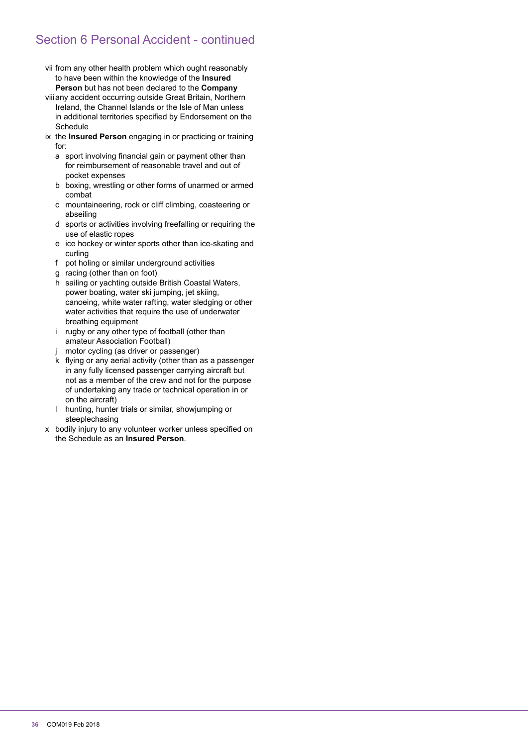# Section 6 Personal Accident - continued

- vii from any other health problem which ought reasonably to have been within the knowledge of the **Insured Person** but has not been declared to the **Company**
- viii any accident occurring outside Great Britain, Northern Ireland, the Channel Islands or the Isle of Man unless in additional territories specified by Endorsement on the **Schedule**
- ix the **Insured Person** engaging in or practicing or training for:
	- a sport involving financial gain or payment other than for reimbursement of reasonable travel and out of pocket expenses
	- b boxing, wrestling or other forms of unarmed or armed combat
	- c mountaineering, rock or cliff climbing, coasteering or abseiling
	- d sports or activities involving freefalling or requiring the use of elastic ropes
	- e ice hockey or winter sports other than ice-skating and curling
	- f pot holing or similar underground activities
	- g racing (other than on foot)
	- h sailing or yachting outside British Coastal Waters, power boating, water ski jumping, jet skiing, canoeing, white water rafting, water sledging or other water activities that require the use of underwater breathing equipment
	- i rugby or any other type of football (other than amateur Association Football)
	- j motor cycling (as driver or passenger)
	- k flying or any aerial activity (other than as a passenger in any fully licensed passenger carrying aircraft but not as a member of the crew and not for the purpose of undertaking any trade or technical operation in or on the aircraft)
	- l hunting, hunter trials or similar, showjumping or steeplechasing
- x bodily injury to any volunteer worker unless specified on the Schedule as an **Insured Person**.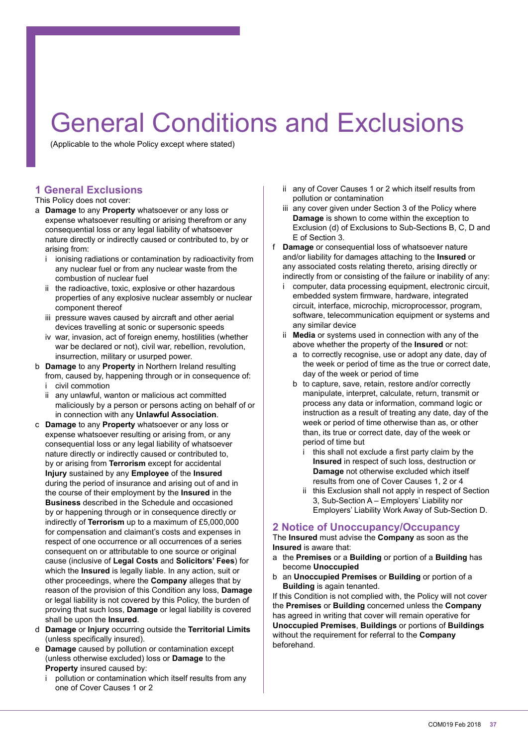# General Conditions and Exclusions

(Applicable to the whole Policy except where stated)

# **1 General Exclusions**

#### This Policy does not cover:

- a **Damage** to any **Property** whatsoever or any loss or expense whatsoever resulting or arising therefrom or any consequential loss or any legal liability of whatsoever nature directly or indirectly caused or contributed to, by or arising from:
	- i ionising radiations or contamination by radioactivity from any nuclear fuel or from any nuclear waste from the combustion of nuclear fuel
	- ii the radioactive, toxic, explosive or other hazardous properties of any explosive nuclear assembly or nuclear component thereof
	- iii pressure waves caused by aircraft and other aerial devices travelling at sonic or supersonic speeds
	- iv war, invasion, act of foreign enemy, hostilities (whether war be declared or not), civil war, rebellion, revolution, insurrection, military or usurped power.
- b **Damage** to any **Property** in Northern Ireland resulting from, caused by, happening through or in consequence of: i civil commotion
	- ii any unlawful, wanton or malicious act committed maliciously by a person or persons acting on behalf of or in connection with any **Unlawful Association**.
- c **Damage** to any **Property** whatsoever or any loss or expense whatsoever resulting or arising from, or any consequential loss or any legal liability of whatsoever nature directly or indirectly caused or contributed to, by or arising from **Terrorism** except for accidental **Injury** sustained by any **Employee** of the **Insured** during the period of insurance and arising out of and in the course of their employment by the **Insured** in the **Business** described in the Schedule and occasioned by or happening through or in consequence directly or indirectly of **Terrorism** up to a maximum of £5,000,000 for compensation and claimant's costs and expenses in respect of one occurrence or all occurrences of a series consequent on or attributable to one source or original cause (inclusive of **Legal Costs** and **Solicitors' Fees**) for which the **Insured** is legally liable. In any action, suit or other proceedings, where the **Company** alleges that by reason of the provision of this Condition any loss, **Damage** or legal liability is not covered by this Policy, the burden of proving that such loss, **Damage** or legal liability is covered shall be upon the **Insured**.
- d **Damage** or **Injury** occurring outside the **Territorial Limits** (unless specifically insured).
- e **Damage** caused by pollution or contamination except (unless otherwise excluded) loss or **Damage** to the **Property** insured caused by:
	- i pollution or contamination which itself results from any one of Cover Causes 1 or 2
- ii any of Cover Causes 1 or 2 which itself results from pollution or contamination
- iii any cover given under Section 3 of the Policy where **Damage** is shown to come within the exception to Exclusion (d) of Exclusions to Sub-Sections B, C, D and E of Section 3.
- f **Damage** or consequential loss of whatsoever nature and/or liability for damages attaching to the **Insured** or any associated costs relating thereto, arising directly or indirectly from or consisting of the failure or inability of any:
	- computer, data processing equipment, electronic circuit, embedded system irmware, hardware, integrated circuit, interface, microchip, microprocessor, program, software, telecommunication equipment or systems and any similar device
	- ii **Media** or systems used in connection with any of the above whether the property of the **Insured** or not:
		- a to correctly recognise, use or adopt any date, day of the week or period of time as the true or correct date, day of the week or period of time
		- b to capture, save, retain, restore and/or correctly manipulate, interpret, calculate, return, transmit or process any data or information, command logic or instruction as a result of treating any date, day of the week or period of time otherwise than as, or other than, its true or correct date, day of the week or period of time but
			- this shall not exclude a first party claim by the **Insured** in respect of such loss, destruction or **Damage** not otherwise excluded which itself results from one of Cover Causes 1, 2 or 4
			- ii this Exclusion shall not apply in respect of Section 3, Sub-Section A – Employers' Liability nor Employers' Liability Work Away of Sub-Section D.

#### **2 Notice of Unoccupancy/Occupancy**

The **Insured** must advise the **Company** as soon as the **Insured** is aware that:

- a the **Premises** or a **Building** or portion of a **Building** has become **Unoccupied**
- b an **Unoccupied Premises** or **Building** or portion of a **Building** is again tenanted.

If this Condition is not complied with, the Policy will not cover the **Premises** or **Building** concerned unless the **Company** has agreed in writing that cover will remain operative for **Unoccupied Premises**, **Buildings** or portions of **Buildings** without the requirement for referral to the **Company** beforehand.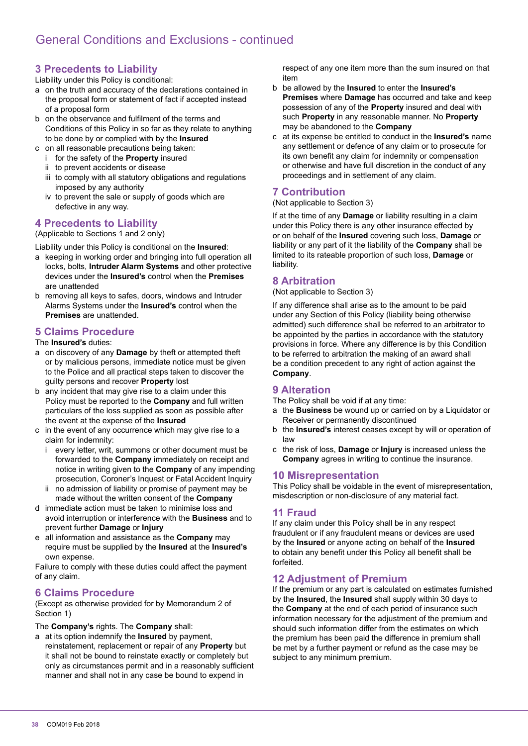# **3 Precedents to Liability**

Liability under this Policy is conditional:

- a on the truth and accuracy of the declarations contained in the proposal form or statement of fact if accepted instead of a proposal form
- b on the observance and fulfilment of the terms and Conditions of this Policy in so far as they relate to anything to be done by or complied with by the **Insured**
- c on all reasonable precautions being taken:
	- i for the safety of the **Property** insured
	- ii to prevent accidents or disease
	- iii to comply with all statutory obligations and regulations imposed by any authority
	- iv to prevent the sale or supply of goods which are defective in any way.

# **4 Precedents to Liability**

(Applicable to Sections 1 and 2 only)

Liability under this Policy is conditional on the **Insured**:

- a keeping in working order and bringing into full operation all locks, bolts, **Intruder Alarm Systems** and other protective devices under the **Insured's** control when the **Premises** are unattended
- b removing all keys to safes, doors, windows and Intruder Alarms Systems under the **Insured's** control when the **Premises** are unattended.

# **5 Claims Procedure**

#### The **Insured's** duties:

- a on discovery of any **Damage** by theft or attempted theft or by malicious persons, immediate notice must be given to the Police and all practical steps taken to discover the guilty persons and recover **Property** lost
- b any incident that may give rise to a claim under this Policy must be reported to the **Company** and full written particulars of the loss supplied as soon as possible after the event at the expense of the **Insured**
- c in the event of any occurrence which may give rise to a claim for indemnity:
	- i every letter, writ, summons or other document must be forwarded to the **Company** immediately on receipt and notice in writing given to the **Company** of any impending prosecution, Coroner's Inquest or Fatal Accident Inquiry
	- ii no admission of liability or promise of payment may be made without the written consent of the **Company**
- d immediate action must be taken to minimise loss and avoid interruption or interference with the **Business** and to prevent further **Damage** or **Injury**
- e all information and assistance as the **Company** may require must be supplied by the **Insured** at the **Insured's** own expense.

Failure to comply with these duties could affect the payment of any claim.

# **6 Claims Procedure**

(Except as otherwise provided for by Memorandum 2 of Section 1)

The **Company's** rights. The **Company** shall:

a at its option indemnify the **Insured** by payment, reinstatement, replacement or repair of any **Property** but it shall not be bound to reinstate exactly or completely but only as circumstances permit and in a reasonably suficient manner and shall not in any case be bound to expend in

respect of any one item more than the sum insured on that item

- b be allowed by the **Insured** to enter the **Insured's Premises** where **Damage** has occurred and take and keep possession of any of the **Property** insured and deal with such **Property** in any reasonable manner. No **Property** may be abandoned to the **Company**
- c at its expense be entitled to conduct in the **Insured's** name any settlement or defence of any claim or to prosecute for its own benefit any claim for indemnity or compensation or otherwise and have full discretion in the conduct of any proceedings and in settlement of any claim.

# **7 Contribution**

(Not applicable to Section 3)

If at the time of any **Damage** or liability resulting in a claim under this Policy there is any other insurance effected by or on behalf of the **Insured** covering such loss, **Damage** or liability or any part of it the liability of the **Company** shall be limited to its rateable proportion of such loss, **Damage** or liability.

# **8 Arbitration**

(Not applicable to Section 3)

If any difference shall arise as to the amount to be paid under any Section of this Policy (liability being otherwise admitted) such difference shall be referred to an arbitrator to be appointed by the parties in accordance with the statutory provisions in force. Where any difference is by this Condition to be referred to arbitration the making of an award shall be a condition precedent to any right of action against the **Company**.

# **9 Alteration**

The Policy shall be void if at any time:

- a the **Business** be wound up or carried on by a Liquidator or Receiver or permanently discontinued
- b the **Insured's** interest ceases except by will or operation of law
- c the risk of loss, **Damage** or **Injury** is increased unless the **Company** agrees in writing to continue the insurance.

# **10 Misrepresentation**

This Policy shall be voidable in the event of misrepresentation, misdescription or non-disclosure of any material fact.

# **11 Fraud**

If any claim under this Policy shall be in any respect fraudulent or if any fraudulent means or devices are used by the **Insured** or anyone acting on behalf of the **Insured** to obtain any benefit under this Policy all benefit shall be forfeited.

# **12 Adjustment of Premium**

If the premium or any part is calculated on estimates furnished by the **Insured**, the **Insured** shall supply within 30 days to the **Company** at the end of each period of insurance such information necessary for the adjustment of the premium and should such information differ from the estimates on which the premium has been paid the difference in premium shall be met by a further payment or refund as the case may be subject to any minimum premium.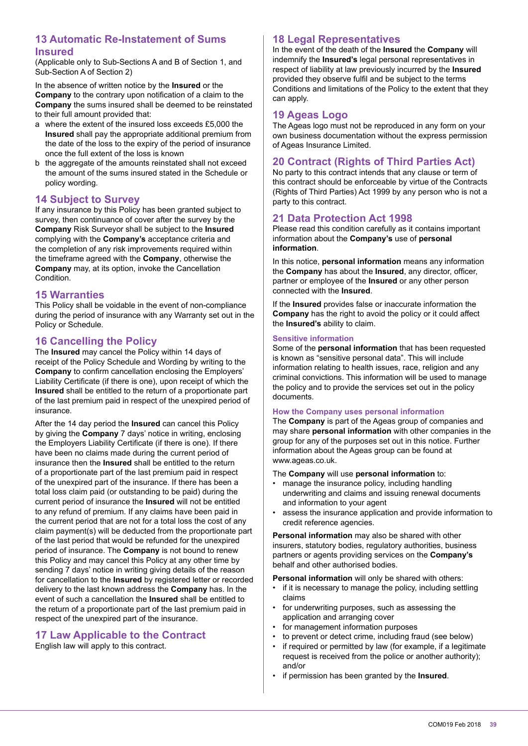# **13 Automatic Re-Instatement of Sums Insured**

(Applicable only to Sub-Sections A and B of Section 1, and Sub-Section A of Section 2)

In the absence of written notice by the **Insured** or the **Company** to the contrary upon notification of a claim to the **Company** the sums insured shall be deemed to be reinstated to their full amount provided that:

- a where the extent of the insured loss exceeds £5,000 the **Insured** shall pay the appropriate additional premium from the date of the loss to the expiry of the period of insurance once the full extent of the loss is known
- b the aggregate of the amounts reinstated shall not exceed the amount of the sums insured stated in the Schedule or policy wording.

# **14 Subject to Survey**

If any insurance by this Policy has been granted subject to survey, then continuance of cover after the survey by the **Company** Risk Surveyor shall be subject to the **Insured** complying with the **Company's** acceptance criteria and the completion of any risk improvements required within the timeframe agreed with the **Company**, otherwise the **Company** may, at its option, invoke the Cancellation Condition.

#### **15 Warranties**

This Policy shall be voidable in the event of non-compliance during the period of insurance with any Warranty set out in the Policy or Schedule.

# **16 Cancelling the Policy**

The **Insured** may cancel the Policy within 14 days of receipt of the Policy Schedule and Wording by writing to the **Company** to confirm cancellation enclosing the Employers' Liability Certificate (if there is one), upon receipt of which the **Insured** shall be entitled to the return of a proportionate part of the last premium paid in respect of the unexpired period of insurance.

After the 14 day period the **Insured** can cancel this Policy by giving the **Company** 7 days' notice in writing, enclosing the Employers Liability Certificate (if there is one). If there have been no claims made during the current period of insurance then the **Insured** shall be entitled to the return of a proportionate part of the last premium paid in respect of the unexpired part of the insurance. If there has been a total loss claim paid (or outstanding to be paid) during the current period of insurance the **Insured** will not be entitled to any refund of premium. If any claims have been paid in the current period that are not for a total loss the cost of any claim payment(s) will be deducted from the proportionate part of the last period that would be refunded for the unexpired period of insurance. The **Company** is not bound to renew this Policy and may cancel this Policy at any other time by sending 7 days' notice in writing giving details of the reason for cancellation to the **Insured** by registered letter or recorded delivery to the last known address the **Company** has. In the event of such a cancellation the **Insured** shall be entitled to the return of a proportionate part of the last premium paid in respect of the unexpired part of the insurance.

# **17 Law Applicable to the Contract**

English law will apply to this contract.

# **18 Legal Representatives**

In the event of the death of the **Insured** the **Company** will indemnify the **Insured's** legal personal representatives in respect of liability at law previously incurred by the **Insured** provided they observe fulfil and be subject to the terms Conditions and limitations of the Policy to the extent that they can apply.

# **19 Ageas Logo**

The Ageas logo must not be reproduced in any form on your own business documentation without the express permission of Ageas Insurance Limited.

# **20 Contract (Rights of Third Parties Act)**

No party to this contract intends that any clause or term of this contract should be enforceable by virtue of the Contracts (Rights of Third Parties) Act 1999 by any person who is not a party to this contract.

# **21 Data Protection Act 1998**

Please read this condition carefully as it contains important information about the **Company's** use of **personal information**.

In this notice, **personal information** means any information the **Company** has about the **Insured**, any director, oficer, partner or employee of the **Insured** or any other person connected with the **Insured**.

If the **Insured** provides false or inaccurate information the **Company** has the right to avoid the policy or it could affect the **Insured's** ability to claim.

#### **Sensitive information**

Some of the **personal information** that has been requested is known as "sensitive personal data". This will include information relating to health issues, race, religion and any criminal convictions. This information will be used to manage the policy and to provide the services set out in the policy documents.

#### **How the Company uses personal information**

The **Company** is part of the Ageas group of companies and may share **personal information** with other companies in the group for any of the purposes set out in this notice. Further information about the Ageas group can be found at www.ageas.co.uk.

#### The **Company** will use **personal information** to:

- manage the insurance policy, including handling underwriting and claims and issuing renewal documents and information to your agent
- assess the insurance application and provide information to credit reference agencies.

**Personal information** may also be shared with other insurers, statutory bodies, regulatory authorities, business partners or agents providing services on the **Company's** behalf and other authorised bodies.

**Personal information** will only be shared with others:

- if it is necessary to manage the policy, including settling claims
- for underwriting purposes, such as assessing the application and arranging cover
- for management information purposes
- to prevent or detect crime, including fraud (see below)
- if required or permitted by law (for example, if a legitimate request is received from the police or another authority); and/or
- if permission has been granted by the **Insured**.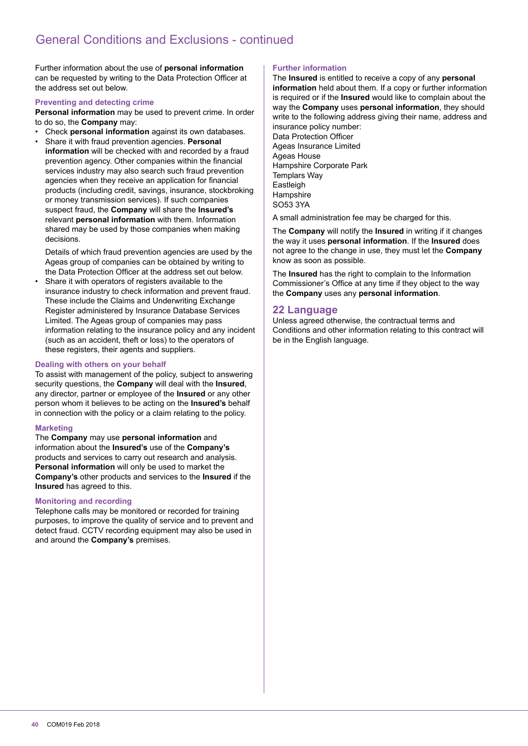Further information about the use of **personal information** can be requested by writing to the Data Protection Oficer at the address set out below.

#### **Preventing and detecting crime**

**Personal information** may be used to prevent crime. In order to do so, the **Company** may:

- Check **personal information** against its own databases.
- Share it with fraud prevention agencies. **Personal information** will be checked with and recorded by a fraud prevention agency. Other companies within the financial services industry may also search such fraud prevention agencies when they receive an application for financial products (including credit, savings, insurance, stockbroking or money transmission services). If such companies suspect fraud, the **Company** will share the **Insured's** relevant **personal information** with them. Information shared may be used by those companies when making decisions.

 Details of which fraud prevention agencies are used by the Ageas group of companies can be obtained by writing to the Data Protection Oficer at the address set out below.

Share it with operators of registers available to the insurance industry to check information and prevent fraud. These include the Claims and Underwriting Exchange Register administered by Insurance Database Services Limited. The Ageas group of companies may pass information relating to the insurance policy and any incident (such as an accident, theft or loss) to the operators of these registers, their agents and suppliers.

#### **Dealing with others on your behalf**

To assist with management of the policy, subject to answering security questions, the **Company** will deal with the **Insured**, any director, partner or employee of the **Insured** or any other person whom it believes to be acting on the **Insured's** behalf in connection with the policy or a claim relating to the policy.

#### **Marketing**

The **Company** may use **personal information** and information about the **Insured's** use of the **Company's** products and services to carry out research and analysis. **Personal information** will only be used to market the **Company's** other products and services to the **Insured** if the **Insured** has agreed to this.

#### **Monitoring and recording**

Telephone calls may be monitored or recorded for training purposes, to improve the quality of service and to prevent and detect fraud. CCTV recording equipment may also be used in and around the **Company's** premises.

#### **Further information**

The **Insured** is entitled to receive a copy of any **personal information** held about them. If a copy or further information is required or if the **Insured** would like to complain about the way the **Company** uses **personal information**, they should write to the following address giving their name, address and insurance policy number:

Data Protection Oficer Ageas Insurance Limited Ageas House Hampshire Corporate Park Templars Way Eastleigh **Hampshire** SO53 3YA

A small administration fee may be charged for this.

The **Company** will notify the **Insured** in writing if it changes the way it uses **personal information**. If the **Insured** does not agree to the change in use, they must let the **Company** know as soon as possible.

The **Insured** has the right to complain to the Information Commissioner's Ofice at any time if they object to the way the **Company** uses any **personal information**.

#### **22 Language**

Unless agreed otherwise, the contractual terms and Conditions and other information relating to this contract will be in the English language.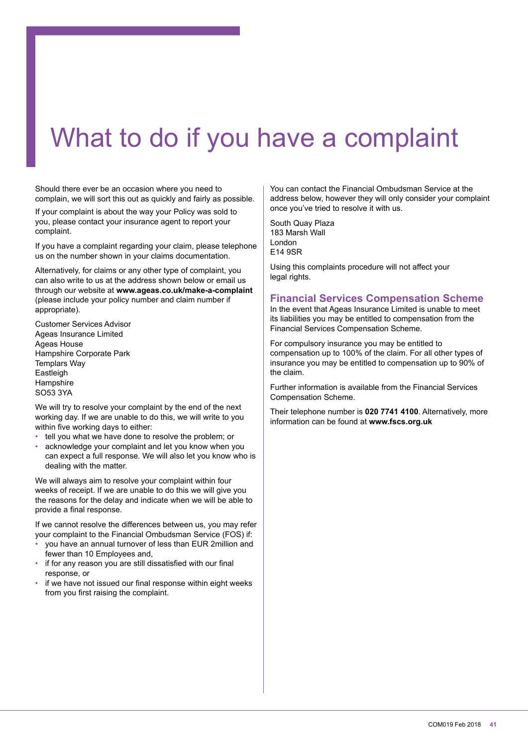# What to do if you have a complaint

Should there ever be an occasion where you need to complain, we will sort this out as quickly and fairly as possible.

If your complaint is about the way your Policy was sold to you, please contact your insurance agent to report your complaint.

If you have a complaint regarding your claim, please telephone us on the number shown in your claims documentation.

Alternatively, for claims or any other type of complaint, you can also write to us at the address shown below or email us through our website at **www.ageas.co.uk/make-a-complaint** (please include your policy number and claim number if appropriate).

Customer Services Advisor Ageas Insurance Limited Ageas House Hampshire Corporate Park Templars Way Eastleigh Hampshire SO53 3YA

We will try to resolve your complaint by the end of the next working day. If we are unable to do this, we will write to you within five working days to either:

- tell you what we have done to resolve the problem; or
- acknowledge your complaint and let you know when you can expect a full response. We will also let you know who is dealing with the matter.

We will always aim to resolve your complaint within four weeks of receipt. If we are unable to do this we will give you the reasons for the delay and indicate when we will be able to provide a final response.

If we cannot resolve the differences between us, you may refer your complaint to the Financial Ombudsman Service (FOS) if:

- you have an annual turnover of less than EUR 2million and fewer than 10 Employees and,
- if for any reason you are still dissatisfied with our final response, or
- if we have not issued our final response within eight weeks from you first raising the complaint.

You can contact the Financial Ombudsman Service at the address below, however they will only consider your complaint once you've tried to resolve it with us.

South Quay Plaza 183 Marsh Wall London E14 9SR

Using this complaints procedure will not affect your legal rights.

#### **Financial Services Compensation Scheme**

In the event that Ageas Insurance Limited is unable to meet its liabilities you may be entitled to compensation from the Financial Services Compensation Scheme.

For compulsory insurance you may be entitled to compensation up to 100% of the claim. For all other types of insurance you may be entitled to compensation up to 90% of the claim.

Further information is available from the Financial Services Compensation Scheme.

Their telephone number is **020 7741 4100**. Alternatively, more information can be found at **www.fscs.org.uk**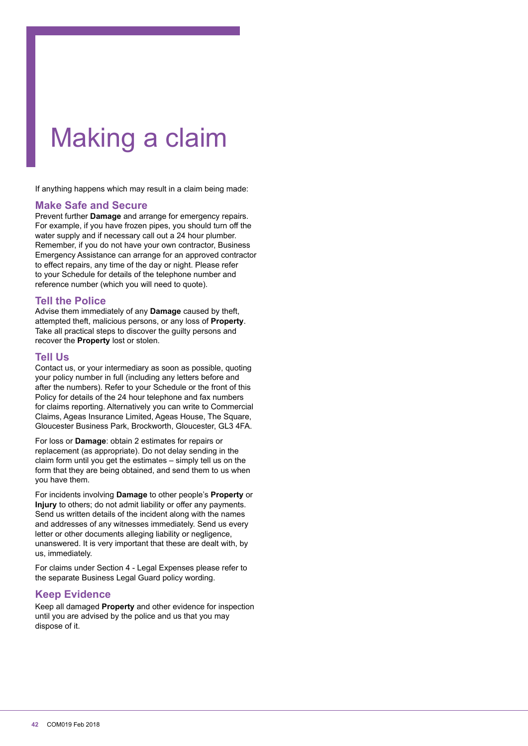# Making a claim

If anything happens which may result in a claim being made:

#### **Make Safe and Secure**

Prevent further **Damage** and arrange for emergency repairs. For example, if you have frozen pipes, you should turn off the water supply and if necessary call out a 24 hour plumber. Remember, if you do not have your own contractor, Business Emergency Assistance can arrange for an approved contractor to effect repairs, any time of the day or night. Please refer to your Schedule for details of the telephone number and reference number (which you will need to quote).

# **Tell the Police**

Advise them immediately of any **Damage** caused by theft, attempted theft, malicious persons, or any loss of **Property**. Take all practical steps to discover the guilty persons and recover the **Property** lost or stolen.

#### **Tell Us**

Contact us, or your intermediary as soon as possible, quoting your policy number in full (including any letters before and after the numbers). Refer to your Schedule or the front of this Policy for details of the 24 hour telephone and fax numbers for claims reporting. Alternatively you can write to Commercial Claims, Ageas Insurance Limited, Ageas House, The Square, Gloucester Business Park, Brockworth, Gloucester, GL3 4FA.

For loss or **Damage**: obtain 2 estimates for repairs or replacement (as appropriate). Do not delay sending in the claim form until you get the estimates – simply tell us on the form that they are being obtained, and send them to us when you have them.

For incidents involving **Damage** to other people's **Property** or **Injury** to others; do not admit liability or offer any payments. Send us written details of the incident along with the names and addresses of any witnesses immediately. Send us every letter or other documents alleging liability or negligence, unanswered. It is very important that these are dealt with, by us, immediately.

For claims under Section 4 - Legal Expenses please refer to the separate Business Legal Guard policy wording.

# **Keep Evidence**

Keep all damaged **Property** and other evidence for inspection until you are advised by the police and us that you may dispose of it.